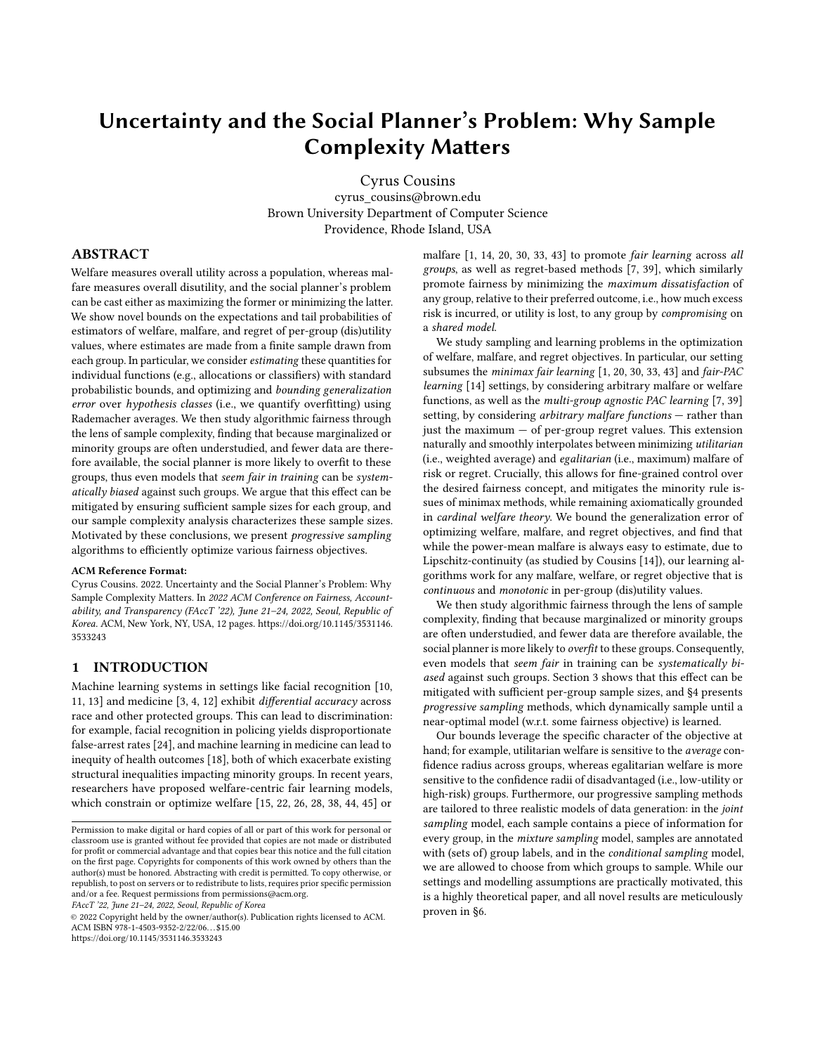# Uncertainty and the Social Planner's Problem: Why Sample Complexity Matters

Cyrus Cousins

cyrus\_cousins@brown.edu Brown University Department of Computer Science Providence, Rhode Island, USA

## ABSTRACT

Welfare measures overall utility across a population, whereas malfare measures overall disutility, and the social planner's problem can be cast either as maximizing the former or minimizing the latter. We show novel bounds on the expectations and tail probabilities of estimators of welfare, malfare, and regret of per-group (dis)utility values, where estimates are made from a finite sample drawn from each group. In particular, we consider estimating these quantities for individual functions (e.g., allocations or classifiers) with standard probabilistic bounds, and optimizing and bounding generalization error over hypothesis classes (i.e., we quantify overfitting) using Rademacher averages. We then study algorithmic fairness through the lens of sample complexity, finding that because marginalized or minority groups are often understudied, and fewer data are therefore available, the social planner is more likely to overfit to these groups, thus even models that seem fair in training can be systematically biased against such groups. We argue that this effect can be mitigated by ensuring sufficient sample sizes for each group, and our sample complexity analysis characterizes these sample sizes. Motivated by these conclusions, we present progressive sampling algorithms to efficiently optimize various fairness objectives.

#### ACM Reference Format:

Cyrus Cousins. 2022. Uncertainty and the Social Planner's Problem: Why Sample Complexity Matters. In 2022 ACM Conference on Fairness, Accountability, and Transparency (FAccT '22), June 21–24, 2022, Seoul, Republic of Korea. ACM, New York, NY, USA, 12 pages. [https://doi.org/10.1145/3531146.](https://doi.org/10.1145/3531146.3533243) [3533243](https://doi.org/10.1145/3531146.3533243)

## 1 INTRODUCTION

Machine learning systems in settings like facial recognition [10, 11, 13] and medicine [3, 4, 12] exhibit differential accuracy across race and other protected groups. This can lead to discrimination: for example, facial recognition in policing yields disproportionate false-arrest rates [24], and machine learning in medicine can lead to inequity of health outcomes [18], both of which exacerbate existing structural inequalities impacting minority groups. In recent years, researchers have proposed welfare-centric fair learning models, which constrain or optimize welfare [15, 22, 26, 28, 38, 44, 45] or

FAccT '22, June 21–24, 2022, Seoul, Republic of Korea

© 2022 Copyright held by the owner/author(s). Publication rights licensed to ACM. ACM ISBN 978-1-4503-9352-2/22/06. . . \$15.00 <https://doi.org/10.1145/3531146.3533243>

malfare [1, 14, 20, 30, 33, 43] to promote fair learning across all groups, as well as regret-based methods [7, 39], which similarly promote fairness by minimizing the maximum dissatisfaction of any group, relative to their preferred outcome, i.e., how much excess risk is incurred, or utility is lost, to any group by compromising on a shared model.

We study sampling and learning problems in the optimization of welfare, malfare, and regret objectives. In particular, our setting subsumes the minimax fair learning [1, 20, 30, 33, 43] and fair-PAC learning [14] settings, by considering arbitrary malfare or welfare functions, as well as the multi-group agnostic PAC learning [7, 39] setting, by considering arbitrary malfare functions — rather than just the maximum  $-$  of per-group regret values. This extension naturally and smoothly interpolates between minimizing utilitarian (i.e., weighted average) and egalitarian (i.e., maximum) malfare of risk or regret. Crucially, this allows for fine-grained control over the desired fairness concept, and mitigates the minority rule issues of minimax methods, while remaining axiomatically grounded in cardinal welfare theory. We bound the generalization error of optimizing welfare, malfare, and regret objectives, and find that while the power-mean malfare is always easy to estimate, due to Lipschitz-continuity (as studied by Cousins [14]), our learning algorithms work for any malfare, welfare, or regret objective that is continuous and monotonic in per-group (dis)utility values.

We then study algorithmic fairness through the lens of sample complexity, finding that because marginalized or minority groups are often understudied, and fewer data are therefore available, the social planner is more likely to overfit to these groups. Consequently, even models that seem fair in training can be systematically biased against such groups. Section 3 shows that this effect can be mitigated with sufficient per-group sample sizes, and §4 presents progressive sampling methods, which dynamically sample until a near-optimal model (w.r.t. some fairness objective) is learned.

Our bounds leverage the specific character of the objective at hand; for example, utilitarian welfare is sensitive to the average confidence radius across groups, whereas egalitarian welfare is more sensitive to the confidence radii of disadvantaged (i.e., low-utility or high-risk) groups. Furthermore, our progressive sampling methods are tailored to three realistic models of data generation: in the joint sampling model, each sample contains a piece of information for every group, in the *mixture sampling* model, samples are annotated with (sets of) group labels, and in the *conditional sampling* model, we are allowed to choose from which groups to sample. While our settings and modelling assumptions are practically motivated, this is a highly theoretical paper, and all novel results are meticulously proven in §6.

Permission to make digital or hard copies of all or part of this work for personal or classroom use is granted without fee provided that copies are not made or distributed for profit or commercial advantage and that copies bear this notice and the full citation on the first page. Copyrights for components of this work owned by others than the author(s) must be honored. Abstracting with credit is permitted. To copy otherwise, or republish, to post on servers or to redistribute to lists, requires prior specific permission and/or a fee. Request permissions from permissions@acm.org.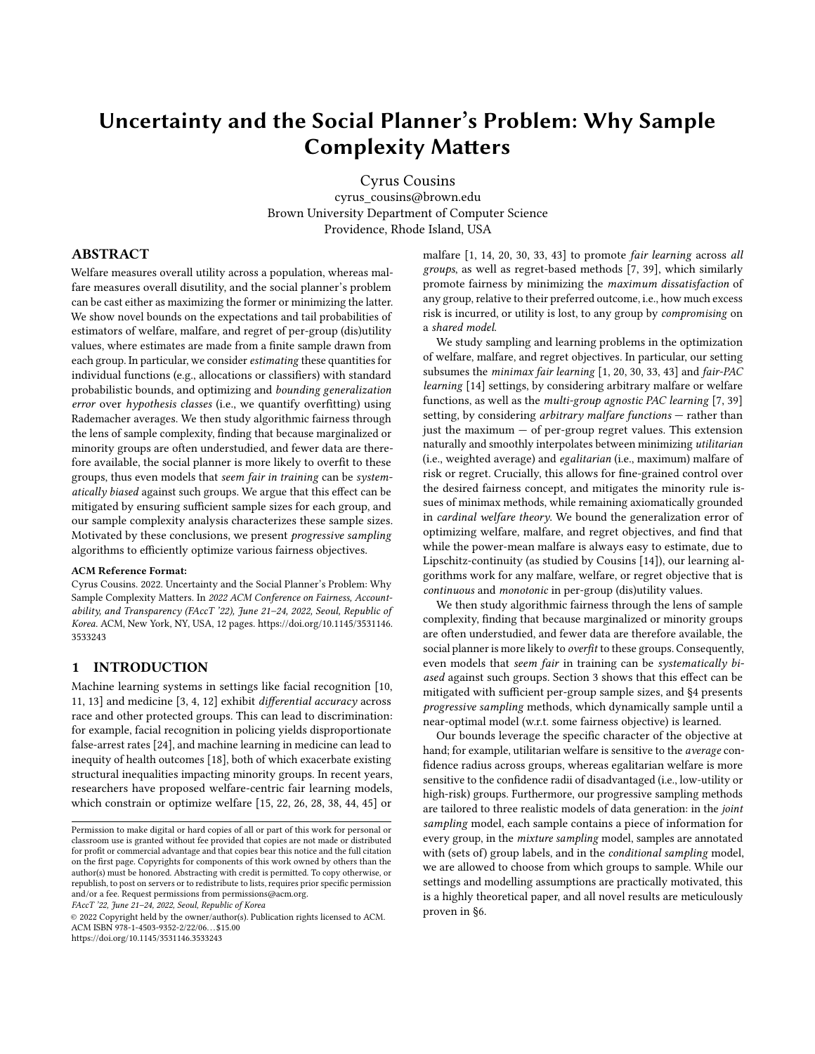#### 2 LEARNING FRAMEWORK AND **OBJECTIVES**

In this section, we introduce the functional form of the objects and random spaces that we operate over, and we define our learning objectives. In particular, §2.1 presents the welfare, malfare, and regret objectives, which compile per-group sentiment values into a cardinal objective value that can be optimized and analyzed, then §2.2 reifies this abstract mathematics with three realistic models of data-collection, each of which requires its own statistical treatment to efficiently learn from data, i.e., to optimize and bound objectives, while minimizing the cost of obtaining said data.

We henceforth assume a *supervised learning setting*, where  $X$ is the domain and  $Y$  is the codomain. We also assume either a loss function 1 `¹; º : <sup>Y</sup><sup>0</sup> - Y ! <sup>R</sup>0<sup>+</sup> or a utility function <sup>u</sup>¹; º :  $Y^0$   $Y$ ! R<sub>0+</sub>, which map predictions and labels onto *negatively* connoted loss or disutility, or positively connoted gain or utility, generically termed a sentiment function s<sup>1</sup>; °:  $\gamma^0$ ,  $\gamma$ !  $R_{0+}$ . In most supervised learning settings, a single probability distribution most supervised learning settings, a single probability distribution  $D$  over  $X$   $\vee$  suffices, but we assume a set Z of groups, and we model the experiences and conditions of each group as its own distribution, i.e., we have  $D_1$ ; ::; D. For convenience, we often compose the sentiment function with a predictor or model  $h^{10}$  :  $X \perp Y^0$ , taking <sup>1</sup>s  $h^{01}X$ ;  $\circ$  s<sup>1</sup> $h^{1}X$ <sup>o</sup>;  $\circ$ , thus we quantify model performance for group *i* as  $E_{D_i}$ <sup>ss</sup> *h*<sup>y</sup>.

#### 2.1 Fair Learning with Malfare, Welfare, and Regret Objectives

Here we define the welfare, malfare, and regret objectives. While the details differ, each of these is a function of the expected utility or loss (generically sentiment) of some  $h : X$  !  $\forall$  for each of the groups, and we are interested in selecting the model or hypothesis h from some hypothesis class  $H \times I$   $\forall$ <sup>0</sup> that optimizes the given objective.

Malfare and Welfare. A welfare function  $W^1S$ ;  $W^0$  measures overall positive utility  $S$  across a population weighted by  $W$ , whereas a malfare function  $M^1S$ ;  $W^0$  measures overall disutility  $S$ , and generi-<br>cally we say an aggregator function  $M^1S$ ;  $W^0$  measures overall sencally, we say an aggregator function  $M^1S$ ;  $W^{\circ}$  measures overall sentiment S. The prototypical example is the utilitarian (or Benthamite) aggregate, defined as  $M_1$ <sup>1</sup>S;  $w^{\circ}$  S  $w$ , which simply averages sentiment across the population (e.g., welfare as per-capita income, or malfare as per-capita medical expenditure), and the second-fiddle is the *egalitarian* (or *Rawlsian*) welfare W  $1$ <sup>1</sup>S;  $W$ <sup>0</sup> (minimum) or malfare  $M_1$ <sup>1</sup>S;  $W^0$  (maximum), which summarizes a population's sentiment as that of its most disadvantaged member. We assume sentiment as that of its most disadvantaged member. We assume throughout that  $W 2<sup>10</sup>$ ; 1<sup>°</sup> is a *probability vector*, thus  $kWk<sub>1</sub> = 1$ , and S 2  $R_{0+}$  is nonnegative. Ab initio, our first objective is, via the social planner's problem, to maximize welfare [22, 28, 38, 44], or by extension (e.g., in chores manna or harm allocation [25, 29], or in machine learning [1, 14]) to minimize malfare, i.e., we seek to

approximate

 $\Omega$ 

$$
h^{7} \quad \operatorname*{argmin}_{h2H} M \quad i \quad \nabla \quad E \quad \nabla \cdot h \mathbf{w} ;
$$
\n
$$
h^{7} \quad \operatorname*{argmax}_{h2H} W \quad i \quad \nabla \quad E \quad \text{nu} \quad h \mathbf{w} ;
$$
\n
$$
h^{8} \quad \text{m} \quad \text{m} \quad \text{m} \quad \text{m} \quad \text{m} \quad \text{m} \quad \text{m} \quad \text{m} \quad \text{m} \quad \text{m} \quad \text{m} \quad \text{m} \quad \text{m} \quad \text{m} \quad \text{m} \quad \text{m} \quad \text{m} \quad \text{m} \quad \text{m} \quad \text{m} \quad \text{m} \quad \text{m} \quad \text{m} \quad \text{m} \quad \text{m} \quad \text{m} \quad \text{m} \quad \text{m} \quad \text{m} \quad \text{m} \quad \text{m} \quad \text{m} \quad \text{m} \quad \text{m} \quad \text{m} \quad \text{m} \quad \text{m} \quad \text{m} \quad \text{m} \quad \text{m} \quad \text{m} \quad \text{m} \quad \text{m} \quad \text{m} \quad \text{m} \quad \text{m} \quad \text{m} \quad \text{m} \quad \text{m} \quad \text{m} \quad \text{m} \quad \text{m} \quad \text{m} \quad \text{m} \quad \text{m} \quad \text{m} \quad \text{m} \quad \text{m} \quad \text{m} \quad \text{m} \quad \text{m} \quad \text{m} \quad \text{m} \quad \text{m} \quad \text{m} \quad \text{m} \quad \text{m} \quad \text{m} \quad \text{m} \quad \text{m} \quad \text{m} \quad \text{m} \quad \text{m} \quad \text{m} \quad \text{m} \quad \text{m} \quad \text{m} \quad \text{m} \quad \text{m} \quad \text{m} \quad \text{m} \quad \text{m} \quad \text{m} \quad \text{m} \quad \text{m} \quad \text{m} \quad \text{m} \quad \text{m} \quad \text{m} \quad \text{m} \quad \text{m} \quad \
$$

Intuitively, the utilitarian case seeks to optimize overall or average sentiment, whereas the egalitarian case instead seeks to lift up the most disadvantaged group, and thus promote equality, perhaps at the expense of overall (total) utility.

Notably, welfare maximization generalizes utility maximization to multiple groups, and malfare minimization likewise generalizes risk minimization, and the well-studied minimax fair-learning framework arises as the special-case of egalitarian malfare minimization. In general, we assume only monotonicity and continuity of aggregator functions; however, there are a set of relatively standard axioms that, when taken together, restricts the class of interest to the power-mean family [14]. This is convenient, as all power-mean malfare functions are Lipschitz-continuous, which in §4 leads to stronger estimation guarantees and more efficient sampling algorithms than - limit-continuity.

Definition 2.1 (Axioms of Cardinal Welfare and Malfare). Suppose an aggregator function  $M^1S$ ;  $W^0$ . For each item, assume (if necessary) that the axiom applies for all  $S$ ;  $S^0$  2  $R_{0+}$ , scalars ; 2  $R_{0+}$ , and probability vectors  $W^2$  10:1<sup>0</sup> and probability vectors  $W 2$ <sup>1</sup>0; 1<sup>°</sup>.

- 
- (1) Strict Monotonicity:  $S^0$ , **0** =)  $M^1S$ ;  $w^0 < M^1S + S^0$ ;  $w^0$ .<br>(2) Weighted Symmetry: Suppose  $^0$  2 Z<sub>+</sub>,  $S^0$  2 R<sub>0+</sub>, and prob  $_{0+}^{\circ}$ , and probability vector  $w^0 \nvert^2 2^{-10} \int_0^1 \int_0^{\infty} \mathbf{s}$  uch that for all  $u^0 \nvert^2 2 \cdot \text{R}_{0+}$ , it holds that  $i$  s.t.  $S_i = u$   $W_i = i$  s.t.  $S_i^0 = u$   $W_i^0$ . Then  $M^1S$ ;  $w^0 = M^1S$ .  $M^{1}S^{0}$ ; W $^{0}$ °.<br>Continuity
- (3) Continuity:  $M^1S$ ;  $W^0$  is a continuous function (in the standard - limit-continuity sense) in both S and  $w$ .
- (4) Independence of Unconcerned Agents :  $M^1hS_{1:1}$  i;  $w^0$ <br> $M^1hS_{1:1}$  i;  $w^0$  =  $M^1hS_{1:1}$  i;  $i; w^0$  $M^1hS^0_{1;1}$  i;  $W^0$ <br> $M^1hS^0_{1;1}$  i;  $W^0$ .<br>Multiplicatius Lin  $M^1hS_{1: 1}$ ; i;  $w^0$
- (5) Multiplicative Linearity:  $M^1$  S;  $W^0$  =  $M^1$ S;  $W^0$ .
- (6) Unit Scale:  $M^1 1$ ;  $W^0 = M^1 h 1$ ; : : : ; 1i;  $W^0 = 1$ .
- (7) Pigou-Dalton Transfer Principle: Suppose  $\mu = w \leq w \leq 0$ ,<br>and for all  $i \geq 7$  ;  $|u| \leq 0$ ;  $|u| \leq 1$ . Then for utility and and for all  $i \geq 2$ :  $j\mu \leq j_j$   $j\mu \leq j_j$ . Then for utility and welfare,  $W^1S^0$ ;  $W^0$   $W^1S$ ;  $W^0$ , and for disutility and malfare,<br> $W^1S^0$ ,  $W^0$   $W^1S^1$ ;  $W^0$  $M^1S^0$ ;  $w^0$   $M^1S$ ;  $w^0$ .

Axioms 1–4 are essentially the standard axioms of cardinal welfare [37, 40], modified to include the weights W, and omitting any of them leads to rather perverse aggregator functions. Axiom 5 (multiplicative linearity) strengthens the traditional independence of common scale axiom, and ensures that the units of welfare or malfare must match those of sentiment, and axiom 6 (unit scale) merely specifies a multiplicative constant. Finally, axiom 7, the Pigou-Dalton transfer principle [17, 36], characterizes fairness in the sense of equitable redistribution of utility (welfare) or disutility (malfare).

Theorem 2.2 (Aggregator Function Properties [14, theorems 2.4 and 2.5]). Suppose aggregator function  $M^1S$ ;  $W^0$ , and assume arbitrary sentiment vector S  $2$   $\mathsf{R}_{0+}$  and probability vector  $W 2 10; 10$ . The following then hold.

 $^1\rm{O}$  /  $\vee^0$  =  $\,\dot{\vee}$  , such as in standard classification and regression settings, but this is not universally the case. For instance, in probabilistic classification or regression (i.e., conditional density estimation),  $Y^0$  is a space of *distributions over*  $Y$ , and in *interval* estimation,  $Y^0$  is a space of sets over Y.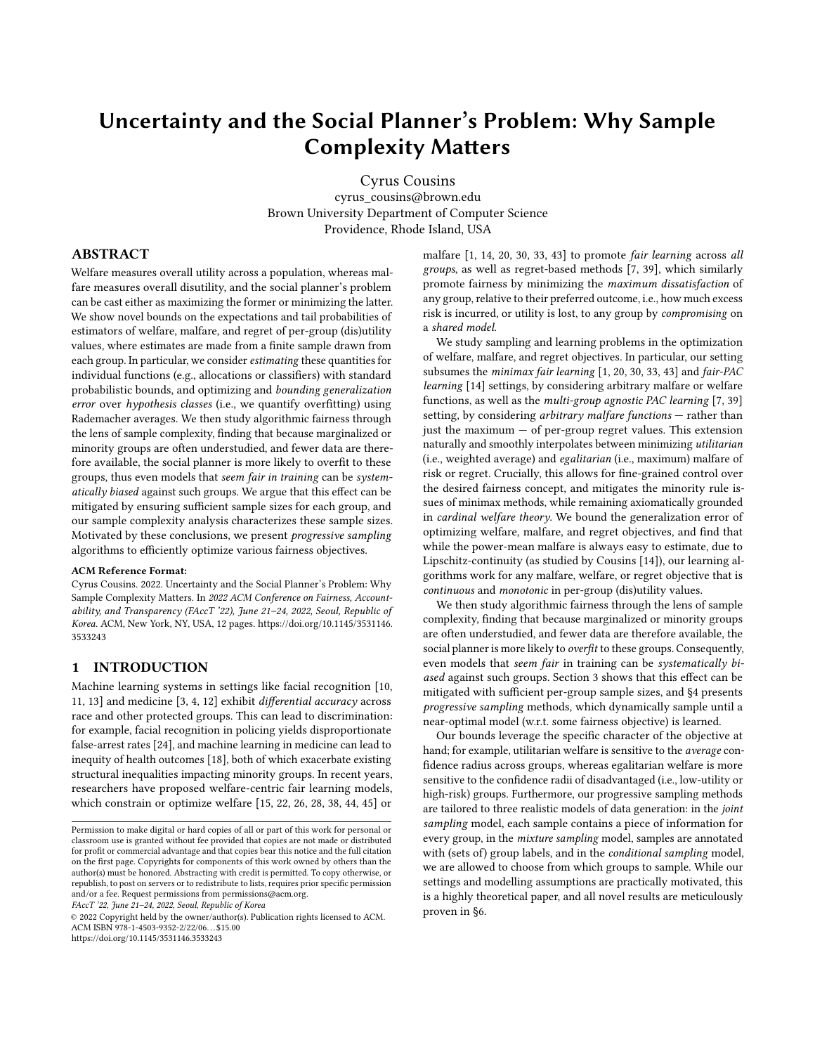$$
\sum_{i=1}^{M^1 \leq j} \frac{w^0}{\sum_{i=1}^{P} w_i S_i^P}
$$
 with  $p = 0$   $\sum_{i=1}^{P^1} \frac{w_i f_p S_i^0}{\sum_{i=1}^{P^1} w_i S_i^P}$  with  $p = 0$   $\sum_{i=1}^{P^1} \frac{y^0}{\sum_{i=1}^{P^1} y^0} \frac{\ln^1 x^0}{\ln^1 y^0} \frac{\ln^1 x^0}{\ln^1 y^0} \frac{y^0}{\ln^1 y^0} \frac{y^0}{\ln^1 y^0} \frac{y^0}{\ln^1 y^0} \frac{y^0}{\ln^1 y^0} \frac{y^0}{\ln^1 y^0} \frac{y^0}{\ln^1 y^0} \frac{y^0}{\ln^1 y^0} \frac{y^0}{\ln^1 y^0} \frac{y^0}{\ln^1 y^0} \frac{y^0}{\ln^1 y^0} \frac{y^0}{\ln^1 y^0} \frac{y^0}{\ln^1 y^0} \frac{y^0}{\ln^1 y^0} \frac{y^0}{\ln^1 y^0} \frac{y^0}{\ln^1 y^0} \frac{y^0}{\ln^1 y^0} \frac{y^0}{\ln^1 y^0} \frac{y^0}{\ln^1 y^0} \frac{y^0}{\ln^1 y^0} \frac{y^0}{\ln^1 y^0} \frac{y^0}{\ln^1 y^0} \frac{y^0}{\ln^1 y^0} \frac{y^0}{\ln^1 y^0} \frac{y^0}{\ln^1 y^0} \frac{y^0}{\ln^1 y^0} \frac{y^0}{\ln^1 y^0} \frac{y^0}{\ln^1 y^0} \frac{y^0}{\ln^1 y^0} \frac{y^0}{\ln^1 y^0} \frac{y^0}{\ln^1 y^0} \frac{y^0}{\ln^1 y^0} \frac{y^0}{\ln^1 y^0} \frac{y^0}{\ln^1 y^0} \frac{y^0}{\ln^1 y^0} \frac{y^0}{\ln^1 y^0} \frac{y^0}{\ln^1 y^0} \frac{y^0}{\ln^1 y^0} \frac{y^0}{\ln^1 y^0} \frac{y^0}{\$ 

- (2) Fair Welfare and Malfare: Axioms 1–7 imply  $p 2^1$  1; 1¼ for<br>welfare and  $p 2 \times 1$ ; 1 $\frac{6}{5}$  for malfare welfare and  $p$  2 »1; 1<sup>°</sup> for malfare.
- (3) Lipschitz-Continuity: For all  $p$  1, it holds that  $jM_p$ <sup>1</sup>S;  $w^{\circ}$   $M_p$ <sup>1</sup>S<sup>0</sup>;  $w^{\circ}$ j  $; w^{\circ}$ j  $M_p^{\circ}$ jS  $S^0$ j;  $w^{\circ}$  $\max_{i \geq 2} jS_i$   $S_i^0$ j.

In closing, we note that utilitarian philosophy is often criticized for permitting great inequality by ignoring the needs of smaller or less visible groups, whereas egalitarian philosophy is criticized for ignoring the masses in favor of outliers and disadvantaged groups, and its inherent susceptibility to minority rule. Concretely, utilitarian aggregates only weakly satisfy the Pigou-Dalton principle, thus do not incentivize equitable redistribution , and egalitarian aggregates satisfy only weakmonotonicity, thus only incentivize gains in the most disadvantaged group(s). Power-means provide a spectrum of intermediaries, so exactly how tradeoffs should be made may depend on the application, as well as the culturosocietal values of the social planner. They are also statistically convenient, as many of our estimation guarantees hold in terms of generic Lipschitz-continuity assumptions, and thus apply to any power-mean malfare function.

Malfare of Regret. Regret measures the relative dissatisfaction of group *i* with some *h* 2 H, relative to their preferred  $h_i^2$  2 H. We define the (per-group) preferred outcome  $h_i^2$  as the model group *i* define the (per-group) preferred outcome  $\overrightarrow{h}_i^2$  as the model group *i* would select for themselves, i.e.,

$$
h_i^2 \quad \underset{h \geq H}{\text{argmin}} \mathop{\mathbb{E}}_{D_i} \quad h \quad \text{or} \quad h_i^2 \quad \underset{h \geq H}{\text{argmax}} \mathop{\mathbb{E}}_{D_i} \quad \text{and} \quad (2)
$$

for loss or utility, respectively, and we let  $S_i^2$  denote the *optimal* expected sentiment for group *i*, i.e.,  $S_i^2 = E_{D_i}$ <sup>8</sup> s  $h_i^2$ <sup>N</sup>. We now formally define the regret of group i on some outcome or model  $h$  2 H as

Reg<sub>1</sub>'h<sup>o</sup> E 
$$
\rightarrow
$$
 h $\parallel$  S<sub>1</sub><sup>o</sup> : Reg<sub>1</sub>'h<sup>o</sup> S<sub>1</sub><sup>o</sup> E  $\rightarrow$  h $\parallel$  ;  
\n $\begin{array}{ccc}\n\text{or generically;} & \text{Reg}_1\downarrow\uparrow^o & \text{S}_1^o & \text{E}_{\downarrow} \\
\text{or generically;} & \text{Reg}_1\downarrow\uparrow^o & \text{S}_{\downarrow}^o & \text{h}\parallel & \text{S}_1^o & \text{S}_{\downarrow}^o & \text{S}_{\downarrow}^o \\
\text{ntuitively Reg1}h^o & \text{is nonnegative and it quantities the amount by}\n\end{array}$ 

Intuitively  $\text{Reg}_i^1 h^0$  is nonnegative, and it quantifies the amount by which group *i* prefers their optimal  $h_i^2$  to *h*.<br>Several authors [7, 30] minimize the wo

Several authors [7, 39] minimize the worst-case (over groups) regret of the selected  $\hat{h}$ , and the statistical and computational questions that arise are studied under the umbrella of "multi-group agnostic PAC learning." We generalize this notion, optimizing not just worst-case (i.e., egalitarian), but arbitrary malfare functions, of per-group regret values, which allows for greater flexibility and resistance to the usual issues of egalitarian malfare. In particular, we seek

$$
h^{7} \quad \operatorname*{argmin}_{h2H} M \quad i \quad \nabla \quad \operatorname{Reg}_{i} \cdot h^{0}; w
$$
\n
$$
= \quad \operatorname*{argmin}_{h2H} M \quad i \quad \nabla \quad j \in \operatorname*{ss} \quad h\mathbb{W} \quad S_{i}^{7} \quad j; w \quad : \qquad (4)
$$

Curiously, since we seek to measure overall regret, and regret is a nonnegative quantity with negative connotation, we always summarize it with a malfare function  $M^1$ ;  $W^0$ , even when we began<br>with a *utility function* Intuitively this is because we can never bone with a *utility function*. Intuitively, this is because we can never hope

to select a shared function  $\hat{h}$  that group *i* prefers to  $h_i^2$ , thus *excess* discription is always positive in both the loss and utility cases. In dissatisfaction is always positive in both the loss and utility cases. In some sense, the malfare of regret thus measures the price of sharing in a society, as the shared model  $\hbar$  is naturally compared [23] to letting each group select their own model  $\hat{h}_i$ .

Previous work summarizes regret across groups by taking the largest regret amongst them. This is analogous to game-theoretic regret (i.e., the maximum over agents of *utility differences* at *adja*cent profiles), but even there, any malfare function could reasonably aggregate per-group regret values. We argue that considering only egalitarian regret may act as an enforcer of the status quo, if one group is particularly happy with their  $h_i^2$  and is thus aggrieved<br>by any compromise – parhaps best summarized by the adope "To by any compromise — perhaps best summarized by the adage, "To those accustomed to privilege, equality feels like oppression." We mitigate this issue by summarizing regret with a power-mean malfare function  $M_p^{-1}$ ;  $W^0$ , instead of the egalitarian malfare, in order<br>to lessen the impact of the most aggriculated group. In particular, this to lessen the impact of the most aggrieved group. In particular, this class smoothly and nonlinearly interpolates between the worst-case (egalitarian)  $\mathbf{M}_1$ <sup>1</sup>;  $\mathbf{w}^\text{o}$  regret and the utilitarian  $\mathbf{M}_1$ <sup>1</sup>;  $\mathbf{w}^\text{o}$  welfare or malfare.

Fascinatingly, we find that utilitarian regret minimization reduces to utilitarian malfare or welfare optimization, as all terms involving per-group optimal sentiment can be factored into an additive constant from these objectives; observe

$$
M_1 \quad i \quad J \quad \text{Reg}_i \cdot h^{\circ}; w = M_1 \quad i \quad J \quad \underset{D_i}{\sum} \text{ is } \quad h^{\circ} \quad \underset{D_i}{\sum} \text{ is } \quad W
$$
\n
$$
= \text{j} \quad W_i \quad \underset{i=1}{\sum} \text{ is } \quad h^{\circ} \quad W \quad \text{S}^2 \text{ is } \quad W
$$
\n
$$
= \text{s} = M_1 \quad \underset{S = u}{\sum} \text{ s} \quad \underset{D_i}{\sum} \text{ s} \quad \underset{D_i}{\sum} \text{ s} \quad W_{i} \quad W \quad \text{S}^2 \quad (5)
$$

namely  $S^7$  appears only in the additive constant  $W S^7$ , which is<br>independent of  $h$  From this perspective, we conclude that while the independent of h. From this perspective, we conclude that while the utilitarian regret is not particularly interesting, the power-mean malfare of regret interpolates between minimizing largest regret, with its minority rule issues, and optimizing utilitarian welfare or malfare.

## 2.2 Three Sampling Models for Populations with Multiple Groups

In order to study efficient sampling, we must first quantify the difficulty or cost of a sampling-based estimation routine, which requires a sampling model. Within a single-group population, methods like i.i.d. sampling, importance sampling, or sampling without replacement are near-ubiquitous, and all can measure cost as sample size  $m \ 2 \ Z_{+}$ ; however, in group-sensitive settings, we must consider how samples from different groups are obtained, and what the cost of collecting these samples is. In the context of this work, we don't argue for a one-size-fits-all solution, but rather we discuss three sampling models, and show that they fit key applications in the computer science domain and beyond.

(1) Joint Sampling: Each i.i.d. sample contains a piece of information for each of the groups, with arbitrary dependencies between groups. For example, per-group representatives could be shown a shared  $x \, 2 \times$  and asked for their feedback, which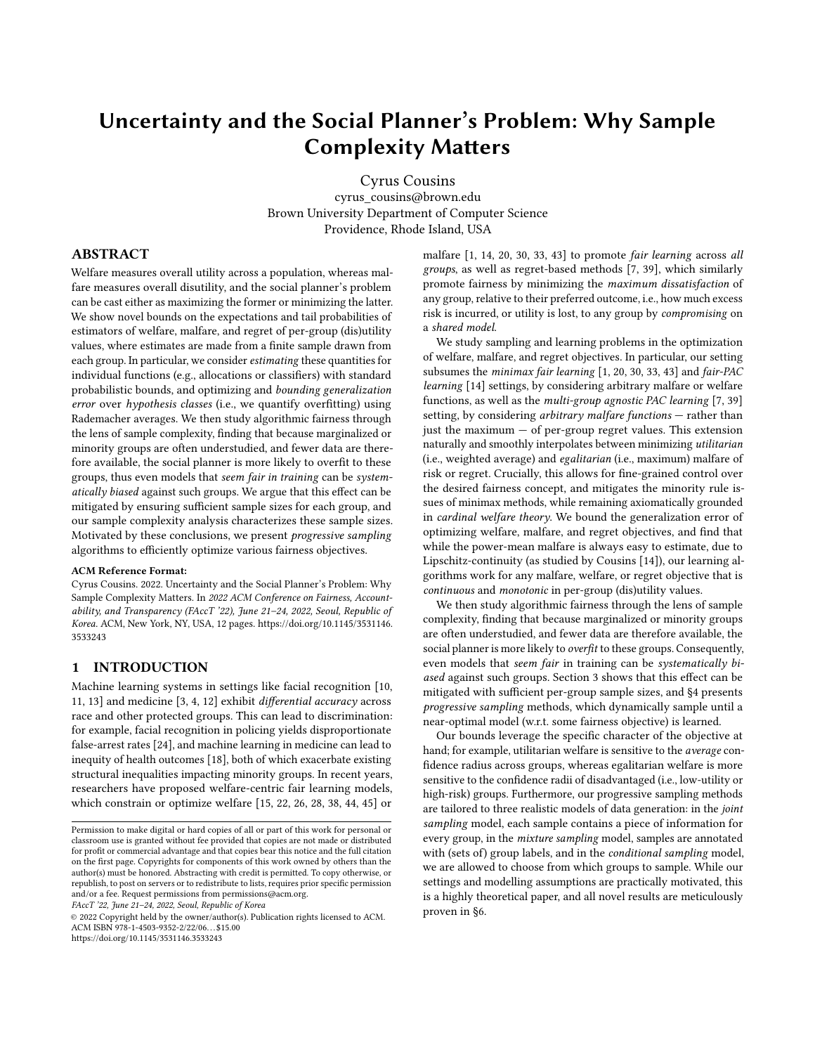would then be used to establish some  $Y_i$  for each group *i*. Thus each sample is in the space  $X \ Y$  if the  $X$  components are shared between groups, or more generally in  $\overline{X}$   $Y^{\circ}$ . This setting also arises in multi-objective reinforcement learning [15, 44], as well as various bandit problems and empirical game theoretic analysis [48], where each query of an action or strategy profile yields a sample of the utility values of each player, agent, or group.

- (2) Mixture Sampling: For each sample, the data are only relevant to a nonempty *subset of groups*  $z \geq 2^z$ , thus samples are<br>claments of  $y \times 2^z$ . This generality is useful for study elements of  $X \ Y \ 2^{\mathsf{Z}}$ . This generality is useful for studying concepts like intersectionalism and multicalibration [39], where individuals may belong to multiple groups, but the case of mutually exclusive groups (i.e., each sample belongs to exactly one group) is also convenient [23]. This model naturally represents a mixed population being sampled i.i.d., where the group identities of the sample are left up to chance (i.e., roughly proportional to group frequencies), and is thus the most appropriate model for learning from [14] existing datasets with group identity features [21].
- (3) Conditional Sampling: Here we actively choose from which group to sample, in contrast to the mixture sampling model, where we simply cast our net and "get what we get." In particular, we sample i.i.d.  ${}^{1}\times$ ;  ${}^{Y^{\circ}}$  pairs conditioned on some group  $Z$  2  $\overline{Z}$ , thus we may select sample sizes  $m_1$ : 2  $Z_+$ and draw a sample  $x_i \circ 2 \times \sqrt{om_1}$ <br>This is a natural model in *active sampling*  $\mathsf{I} \mathsf{X}$   $\mathsf{Y}^{\mathsf{o}}$   $\mathsf{m}_g$ This is a natural model in active sampling [1] and scientific inquiry settings, where initial results guide further study and resource expenditure, and similar conditional sampling structure arises in stratified sampling settings.

In mixture sampling, we generally assume *unit cost*  $C = 1$  per sample, and in joint sampling, we assume *constant* cost  $C > 1$  per joint-sample, as it is more expensive to set up a properly controlled joint sampling distribution. On the other hand, in conditional sampling, some groups may be more difficult or costly to study than others, so we assume a *cost model*  $C_1$ :  $2 R_+$ , where  $C_j$  is the per-sample cost for group *i* thus the total cost of a sample with per-sample cost for group i, thus the total cost of a sample with per-group sizes  $m_1$ : is  $m$  C. Note that the extra control of the conditional sampling model is extremely convenient and powerful, however it is generally more expensive than mixture sampling. These costs are entirely application dependent, so we take no stance on which is preferable, and rather focus on developing efficient learning algorithms under each sampling model.

#### 3 STATISTICAL ANALYSIS AND ESTIMATION GUARANTEES

In this section, we discuss the statistics of estimating malfare and welfare functions. In particular, we assume a set  $Z$  of groups, and we want to estimate the malfare, welfare, or regret of per-group expected loss or utility of some h, i.e.,

$$
\hat{M} \quad M \quad i \quad \nabla \quad E \quad \text{is} \quad h \text{ is} \quad W \quad ; \quad \text{or} \quad \hat{M} \quad M \quad i \quad \nabla \quad \text{Reg}_i \text{ }^1 h^o; \text{ } W \quad ;
$$

 $D_i$ <br>where  $D_1$ : are distributions over  $X \ Y$ , and  $M^1$ ;  $W^0$  generically<br>represents some aggregator function. Estimating the expected loss represents some aggregator function. Estimating the expected loss or utility of one group is a well-studied sampling problem, but generalizing to the welfare, malfare, or regret of multiple groups introduces some subtleties. We start by noting that while the empirical mean is an unbiased estimator of expected utility or loss of a single group, in general there is no unbiased estimator of welfare or malfare (essentially due to their nonlinear nature, much like with the standard deviation). Thus rather than unbiased estimators, we seek *additive error* (AE) bounds of the form  $P$   $|M$   $\hat{M}$   $|$  1 where is the confidence radius (a.k.a. the margin of error), and is the *failure probability* (or, by alternative convention,  $1$  is the level of confidence).

In machine learning, we optimize over a hypothesis class H  $X \perp Y^0$ , thus we seek some sample-dependent  $\hat{h}$  2 H with true objective value within of that of the optimal  $h^2$  2 H. At times, we are also interested in related statistics, like the objective values of  $\hat{h}$  and  $h^2$ , and in general, tools to bound the deviations between the empirical and true objective values for any  $h 2 H$  are sufficient to bound these quantities. The rest of this section pursues such bounds, assuming a fixed *failure probability* and *sample size*  $m_i$ for each group i 2 Z. In particular, section 3.1 reviews known results for uniformly estimating expectations across H, section 3.2 builds upon these results to uniformly estimate malfare, welfare, and regret values, and section 3.3 then studies how varying pergroup sentiment values and confidence radii impacts these bounds, and quantifies the incremental value of sampling from each group as a function of these quantities.

#### 3.1 Uniform Convergence Bounds for Mean Estimation

In this work, the common functional form of our additive error (AE) bounds is data dependent uniform convergence, vectorized to operate over samples from multiple groups, rather than on a single-group sample. Occasionally, we are interested in the scalar form  $\text{AES}^1m$ ; ;  $\mathsf{x}$ ;  $\circ$  :  $\mathsf{Z}_+$ <sup>1</sup>0; 1<sup>o</sup>  $\times$ <sup>*m*</sup>  $\times$ <sup>*m*</sup> !  $R_{0+}$ , which operates on a single group, but unless otherwise stated, we refer to the vector bound AEV<sup>1</sup> $m$ ;  $\chi$ <sup>0</sup>;  $\chi$ <sup>0</sup>;  $\chi$ <sup>1</sup><sub>0</sub>; 1<sup>0</sup>;  $\chi$ <sup>1</sup> $m_1$ <sup>0</sup>;  $\chi$ <sup>1</sup> $m_9$ <sup>0</sup>; 2<sup>1</sup><sub> $\chi$ </sub><sup>0</sup><sub>1</sub><sub>2</sub><sup>0</sup>; 2<sup>1</sup><sub> $\chi$ </sub><sup>0</sup><sub>2</sub><sup>0</sup>; 2<sup>1</sup><sub> $\chi$ </sub><sup>0</sup><sub>2</sub><sup>0</sup>; 2<sup>1</sup><sub> $\chi$ </sub><sup>0</sup><sub>2</sub><sup>0</sup>; 2<sup>1</sup><sub> $\chi$ </sub><sup>0</sup><sub>2</sub> <sup>1</sup>0;  $1^\circ$ <br>In perti- $\sqrt{m_1}$  $\times^{m_g}$  $\sqrt{m_1}$  $\gamma m_g$ <sup>o</sup> !  $R_{0+}$ . In particular, given a sample  $x_i \circ S \cup_{1}^{m_1}$  $\bigcirc^{m_g}$ , we require a function<sup>2</sup> AEV<sup>1</sup>:::<sup>o</sup> such that

$$
\hat{\mathsf{A}} = \sum_{\mathbf{x}_i \in \mathcal{I}} \mathsf{A} \mathsf{B} \mathsf{B} \mathsf{B} \mathsf{B} \mathsf{B} \mathsf{B} \mathsf{B} \mathsf{B}
$$
\n
$$
\hat{\mathsf{B}} = \sum_{\mathbf{x}_i \in \mathcal{I}} \mathsf{B} \mathsf{B} \mathsf{B} \mathsf{B} \mathsf{B} \mathsf{B} \mathsf{B} \mathsf{B} \mathsf{B} \mathsf{B} \mathsf{B} \mathsf{B} \mathsf{B} \mathsf{B} \mathsf{B} \mathsf{B} \mathsf{B} \mathsf{B} \mathsf{B} \mathsf{B} \mathsf{B} \mathsf{B} \mathsf{B} \mathsf{B} \mathsf{B} \mathsf{B} \mathsf{B} \mathsf{B} \mathsf{B} \mathsf{B} \mathsf{B} \mathsf{B} \mathsf{B} \mathsf{B} \mathsf{B} \mathsf{B} \mathsf{B} \mathsf{B} \mathsf{B} \mathsf{B} \mathsf{B} \mathsf{B} \mathsf{B} \mathsf{B} \mathsf{B} \mathsf{B} \mathsf{B} \mathsf{B} \mathsf{B} \mathsf{B} \mathsf{B} \mathsf{B} \mathsf{B} \mathsf{B} \mathsf{B} \mathsf{B} \mathsf{B} \mathsf{B} \mathsf{B} \mathsf{B} \mathsf{B} \mathsf{B} \mathsf{B} \mathsf{B} \mathsf{B} \mathsf{B} \mathsf{B} \mathsf{B} \mathsf{B} \mathsf{B} \mathsf{B} \mathsf{B} \mathsf{B} \mathsf{B} \mathsf{B} \mathsf{B} \mathsf{B} \mathsf{B} \mathsf{B} \mathsf{B} \mathsf{B} \mathsf{B} \mathsf{B} \mathsf{B} \mathsf{B} \mathsf{B} \mathsf{B} \mathsf{B} \mathsf{B} \mathsf{B} \mathsf{B} \mathsf{B} \mathsf{B} \mathsf{B} \mathsf{B} \mathsf{B} \mathsf{B} \mathsf{B} \mathsf{B} \mathsf{B} \mathsf{B} \mathsf{B} \mathsf{B} \mathsf{B} \mathsf{B} \mathsf{B} \mathsf{B} \mathsf{
$$

Section 3.2 explores how  $AEV^{\dagger}$ : :  $^{\circ}$  can be used to bound malfare, welfare, and regret, and the remainder of this subsection is dedicated to showing non-trivial bounds of this form for machine learning applications. All of our AE bounds assume bounded sentiment range  $r = \sup_{0 \leq x \leq 0} \frac{1}{2} \times s^{1} \cdot \frac{0}{x}$ , but this can usually be relaxed if we instead assume a *moment condition* e g each s his sub-exponential instead assume a *moment condition*, e.g., each s h is sub-exponential, sub-gamma, sub-Poisson, or sub-Gaussian [8].

Data-dependent uniform convergence bounds, i.e., those of the form AES<sup>1</sup> $m$ ; ;  $x$ ;  $\degree$ , are invaluable for studying a population about which little is known. Such bounds require data to evaluate, thus we

 $\overline{2}$  Going forward, we present only scalar bounds, but it is to be understood that given additive error scalar bound  $\text{AES}$ : ::  $\degree$  and a finite group count , we may construct the additive error vector bound  $AEV^{\dagger}m$ ; AES<sup>1</sup> $m_1$ ;  $\frac{\delta}{g}$ ;  $\mathbf{x}_{1;1}$ ,  $\frac{0}{1;1}$ ; :::; AES<sup>1</sup> $m_g$ ;  $\frac{\delta}{g}$ ;  $\mathbf{x}_{g_1;1}$   $\frac{0}{g_1;1}$  via the union bound.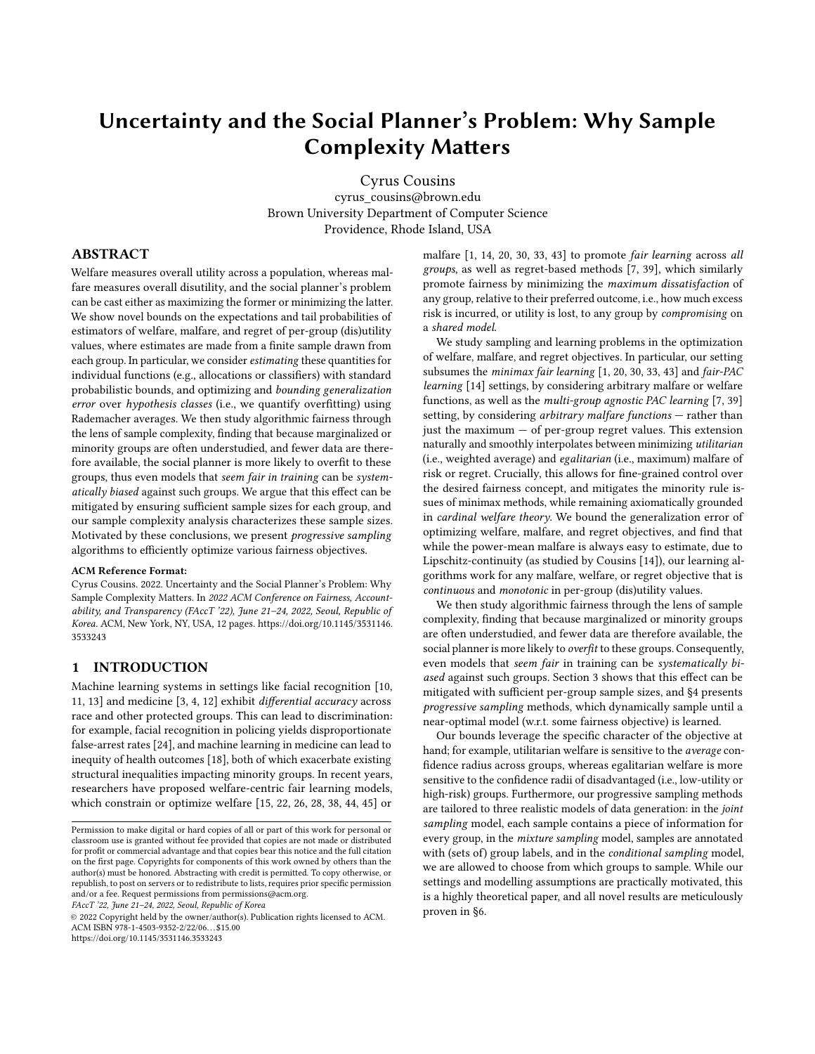cannot determine a priori how much data will be required to meet a given confidence radius. This contrasts distribution-free bounds, which must have worst-case dependence on the distribution, and take the form AES<sup>1</sup> $m$ ; <sup>o</sup> sup<sub>1</sub><sub>x;</sub>  $\circ_{21} \times \sim m$  AES<sup>1</sup> $m$ ;  $\times$ ; <sup>o</sup>. In section 4, when constructing schedules for progressive sampling we tion 4, when constructing schedules for progressive sampling, we often assume knowledge of AES $\text{Im}$ ;  $\text{O}$ , but this is usually possible via this worst-case RHS bound. We first present simple bounds for bounded finite hypothesis classes, which depend on the sentiment *range r*, hypothesis class size  $|H|$ , variances  $\vee$  *l*, and empirical variances Vˆ »¼.

Theorem 3.1 (Uniform Convergence for Bounded Finite Hypothesis Classes). theorem We may bound the distribution-free AES<sup>1</sup>m; <sup>o</sup>, the distribution-dependent AES<sub>D</sub><sup>1</sup>m; <sup>o</sup>, and the data-dependent AES<sup>1</sup> $m$ ; ;  $x$ ;  $\circ$  scalar additive error as

(1)  
\n
$$
\frac{r^{2} \ln \frac{2^{j+1}j}{\delta}}{2m} [27];
$$
\n
$$
\frac{r \ln \frac{2^{j+1}j}{\delta}}{3m} + \sup_{h \geq 1} \frac{2 \sqrt{b} \sinh \frac{2^{j+1}j}{\delta}}{m} [6]; \&
$$
\n(3)  
\n
$$
\frac{7r \ln \frac{2^{j+1}j}{\delta}}{3^j m 1^0} + \sup_{h \geq 1} \frac{2 \hat{V}_{x; s} \sinh \frac{2^{j+1}j}{\delta}}{m 1^0} [16].
$$

Note that supremum variances and empirical variances are properties of the distribution and sample, respectively. Dependence on variance is necessary (similar terms appear in mean-estimation lower-bounds [19, 32]), however the  $\ln |H|$  union bound terms are loose, and the bounds are vacuous for infinite (continuous) H. We now state results using Rademacher averages [5, 42] that tolerate infinite H, while preserving the variance-dependence of item 2.

Theorem 3.2 (Uniform Convergence with Rademacher Averages). theorem Suppose hypothesis class  $H$  and sentiment function s<sup>1</sup>;  $\degree$ , take  $x_i \circ s \circ b^m$  and  $s \cup^{m_1} 1^{\circ}$ , i.e., is uniformly distributed on <sup>1</sup> 1<sup>om</sup>, and define the *Rademacher average*  $R_m$ <sup>1</sup>s  $H$ ;  $D^{\circ}$  and *Rousquet variance provy*  $\angle A$ <sup>1</sup>s  $H$ ;  $D^{\circ}$  (see 9) as Bousquet variance proxy  $\lor_{\mathbb{Q}}$ <sup>1</sup>s  $\quad$   $\vdash$   $\colon D^{\circ}$  [see 9] as

$$
R_m^1 s H; D^{\circ} \underset{\mathbf{x}: \text{sup}}{\mathbf{E}} \lim_{h \geq H} j \frac{1}{m} \sum_{i=1}^{\infty} s h^1 \mathbf{x}_i^{\circ} j ;
$$
  
 
$$
\forall m^1 s H; D^{\circ} \underset{\mathbf{h} \geq H}{\sup} \text{ } \underset{\mathbf{b} \geq h}{\sup} \text{ } \underset{\mathbf{h} \neq 4rR_m^1 s H; D^{\circ} :}{\sup} \text{ } (7)
$$

We may then bound  $\text{AES}_{\text{D}}^{\text{1}} m$ ; ° as  $2Rm^3 s$  H;  $\text{D}^\circ + \frac{r \ln \frac{1}{\delta}}{3m} + \frac{2\lambda \ln \frac{1}{\delta}}{n}$  $\frac{2\vee_{m}!s\;H;D^{\circ}\ln\frac{1}{\delta}}{m}$ .

Data-dependent analogues of theorem 3.2 are possible using empirical Rademacher averages and variances at no asymptotic cost [16]. In the worst case, theorem 3.2 performs comparably to theorem 3.1 item 2, however it improves when correlations exist between elements of  $H$ , because the *effective size* of  $H$  is smaller for the purposes of realizing the supremum in the Rademacher average, see (7). The abstract inequalities of theorem 3.2 are quite opaque, so we now provide concrete bounds on the Rademacher averages of practical infinite hypothesis classes. The below results hold for any distribution  $D$ , and are thus distribution-free, although similar distribution-dependent or data-dependent bounds are possible.

#### Property 3.3 (Practical Bounds on Rademacher Averages). (1) Suppose H has Vapnik-Chervonenkis (VC) dimension d

[46, 47], and `<sup>1</sup><sup>\*</sup>;  $\degree$  1  $\mathbb{1}$  <sup>1</sup> $\degree$  is the 0-1 loss. Then for some absolute constant  $c, R_m$ <sup>1</sup>  $H$ ;  $D^{\circ}$ <br>implies bounds for linear classifiers, bounded den  $\frac{cd}{m}$ , which implies bounds for linear classifiers, bounded-depth decision trees [31], and many classes of neural network [2].

(2) Suppose  $X$  f  $\Re$  2 R<sup>1</sup> j k $\Re$ k<sub>2</sub> Rg is the R-radius L<sub>2</sub> ball in  $\mathbb{R}^1$ ,  $\mathbb{H}$  f  $\mathbb{R}$   $\mathbb{V}$   $\mathbb{W}$   $\mathbb{R}$  j k  $\mathbb{W}$ k<sub>2</sub> g is a -regularized linear class,  $Y \rightarrow R$ ; R  $\frac{1}{4}$ , and `<sup>1</sup>;  $\circ$  is a -Lipschitz loss function s.t. `<sup>1</sup> ;  $\circ$  = 0. Then r 2 R and R<sub>m</sub><sup>1</sup> H; D<sup>o</sup>  $\frac{R}{m}$ . This implies bounds for (kernelized) SVM, generalized linear models [35], and bounded linear regression.

#### 3.2 From Mean Estimation to Welfare, Malfare, and Regret Bounds

We now adapt the AE bounds of section 3.1 on expectations to bound malfare, welfare, and regret in terms of empirical estimates thereof. In particular, the strategy for each is to combine tail bounds for mean-estimation with the monotonicity axiom (definition 2.1 item 1) to bound the tails and expectations of our desiderata. We use the uniform convergence bounds of section 3.1 to bound the error of these estimates, thus we need only propagate this uncertainty through the appropriate aggregator functions. In general, aggregator functions are nonlinear, and optimizing over  $H$  results in estimation bias, thus the plug-in estimator is biased, however, we still obtain tail bounds on our objectives via  $AEV^{\dagger}$ : : : º. Because the plug-in estimator is biased, we also consider various LCB-and-UCB-style estimates, which when optimized yield safer function choices and partially control for overfitting. Finally, in some cases, integrating over worst-case uncertainty from the tail bounds of  $AEV^1$ :::<sup>0</sup> yields convenient bounds on the expectation (and thus the bias) of the plug-in estimator.

Welfare and Malfare. Due to the lack of an unbiased estimator for welfare and malfare, we study the simple plug-in estimator  $\hat{M}$ , as employed by [16], and introduce a pair of lower and upper estimators  ${}^{1}\hat{\mathbf{M}}^{\dagger}$ ;  $\hat{\mathbf{M}}^{\dagger}$ <sup>o</sup>. In particular, we take

$$
\hat{M} \quad M \quad i \quad \nabla \quad \nabla \quad \nabla \quad \nabla \quad \nabla \quad \nabla \quad \nabla \quad \nabla \quad \nabla \quad \nabla \quad \nabla \quad \nabla \quad \nabla \quad \nabla \quad \nabla \quad \nabla \quad \nabla \quad \nabla \quad \nabla \quad \nabla \quad \nabla \quad \nabla \quad \nabla \quad \nabla \quad \nabla \quad \nabla \quad \nabla \quad \nabla \quad \nabla \quad \nabla \quad \nabla \quad \nabla \quad \nabla \quad \nabla \quad \nabla \quad \nabla \quad \nabla \quad \nabla \quad \nabla \quad \nabla \quad \nabla \quad \nabla \quad \nabla \quad \nabla \quad \nabla \quad \nabla \quad \nabla \quad \nabla \quad \nabla \quad \nabla \quad \nabla \quad \nabla \quad \nabla \quad \nabla \quad \nabla \quad \nabla \quad \nabla \quad \nabla \quad \nabla \quad \nabla \quad \nabla \quad \nabla \quad \nabla \quad \nabla \quad \nabla \quad \nabla \quad \nabla \quad \nabla \quad \nabla \quad \nabla \quad \nabla \quad \nabla \quad \nabla \quad \nabla \quad \nabla \quad \nabla \quad \nabla \quad \nabla \quad \nabla \quad \nabla \quad \nabla \quad \nabla \quad \nabla \quad \nabla \quad \nabla \quad \nabla \quad \nabla \quad \nabla \quad \nabla \quad \nabla \quad \nabla \quad \nabla \quad \nabla \quad \nabla \quad \nabla \quad \nabla \quad \nabla \quad \nabla \quad \nabla \quad \nabla \quad \nabla \quad \nabla \quad \nabla \quad \nabla \quad \nabla \quad \nabla \quad \nabla \quad \nabla \quad \nabla \quad \nabla \quad \nabla \quad \nabla \quad \nabla \quad \nabla \quad \nabla \quad \nabla \quad \nabla \quad \nabla \quad \nabla \quad \nabla \quad \nabla \quad \nabla \quad \nabla \quad \nabla \quad \nab
$$

where  $\equiv$  and  $\wedge$  are the (minimum precedence) infix binary max and min operators. By monotonicity (axiom 1), it holds that  $\hat{M}^*$   $\hat{M}$   $\hat{M}$ . The lower and upper confidence bound estimates are convenient, both to show high probability bounds, and to sandwich the plug-in estimator, which we use to bound its bias. We first show tail bounds for the estimation of welfare and malfare in terms of their plug-in, LCB, and UCB estimates, and we then bound the bias of  $\hat{M}$ .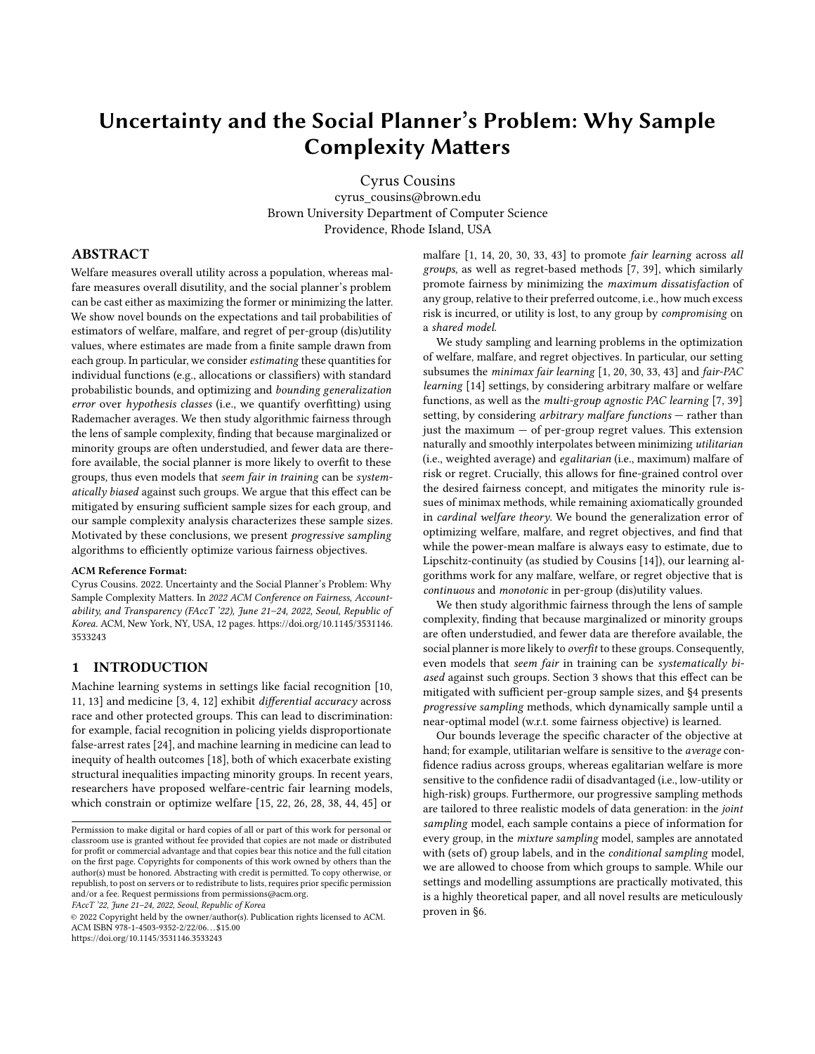Theorem 3.4 (Welfare and Malfare Tail Bounds). theorem Suppose sentiment function s<sup>1</sup>; °:  $\gamma^0$  -  $\gamma$ !  $R_{0+}$ , per-group probability<br>distributions  $Q_{\text{max}}$  comple size vector  $m$ ,  $2, Z_{\text{max}}$  comples  $|x|$ . °  $S$ distributions  $D_1$ : , sample size vector  $m \geq Z_+$ , samples  $x$ ;  $\circ$  s  $\mathsf{D}_1^{\mathsf{m}_1}$  $\mathsf{D}^{\mathsf{m}_{g}}$ , failure probability  $\mathsf{2}$  <sup>10</sup>; 1<sup>0</sup>, and additive error bound AEV<sup>1</sup>::: <sup>o</sup>, and let  $\sim$  AEV<sup>1</sup> $m$ ;  $\chi$ ; <sup>o</sup>. Then for all h 2 H and all monotonic aggregator functions  $M^1$ ;  $w^o$ , it holds with probability at least 1 over  $\bf{y}$  and  $\hat{h}$  that probability at least  $1$  over  $x$ , , and  $\hat{}$  that

M i 7! 0 \_ E Di »s h¼ ˆ<sup>i</sup> ;w <sup>|</sup> {z } True LB <sup>M</sup> <sup>i</sup> 7! <sup>E</sup><sup>ˆ</sup> xi;: ; i;: »<sup>s</sup> <sup>h</sup>¼;w <sup>|</sup> {z } Plug-In Estimate Mˆ M i 7! r ^ E Di »s h¼ + ˆ<sup>i</sup> ;w <sup>|</sup> {z } True UB ; (9) & <sup>M</sup> <sup>i</sup> 7! <sup>0</sup> \_ <sup>E</sup><sup>ˆ</sup> xi;: ; i;: »s h¼ ˆ<sup>i</sup> ;w <sup>|</sup> {z } LCB Estimate Mˆ # M i 7! E Di »<sup>s</sup> <sup>h</sup>¼;w <sup>|</sup> {z } True Aggregate M <sup>M</sup> <sup>i</sup> 7! <sup>r</sup> ^ <sup>E</sup><sup>ˆ</sup> xi;: ; i;: »s h¼ + ˆ<sup>i</sup> ;w <sup>|</sup> {z } UCB Estimate Mˆ " ; (10)

thus if  $M^1$ ;  $W^0$  is -Lipschitz-continuous w.r.t. some norm k  $k_M$ , we have

$$
\begin{array}{cccccccccccccc} jM & i & \not\mathbb{V} & \xrightarrow{\hat{E}} & \text{is} & \textit{h}\mathbb{I}\mathbb{I} & \text{is} & \textit{h}\mathbb{I}\mathbb{I} & \text{is} & \textit{h}\mathbb{I}\mathbb{I}, & \mathbb{K}^* \mathbb{I}\mathbb{I} & \text{is} & \text{is} & \text{is} & \text{is} & \text{is} & \text{is} & \text{is} & \text{is} & \text{is} & \text{is} & \text{is} & \text{is} & \text{is} & \text{is} & \text{is} & \text{is} & \text{is} & \text{is} & \text{is} & \text{is} & \text{is} & \text{is} & \text{is} & \text{is} & \text{is} & \text{is} & \text{is} & \text{is} & \text{is} & \text{is} & \text{is} & \text{is} & \text{is} & \text{is} & \text{is} & \text{is} & \text{is} & \text{is} & \text{is} & \text{is} & \text{is} & \text{is} & \text{is} & \text{is} & \text{is} & \text{is} & \text{is} & \text{is} & \text{is} & \text{is} & \text{is} & \text{is} & \text{is} & \text{is} & \text{is} & \text{is} & \text{is} & \text{is} & \text{is} & \text{is} & \text{is} & \text{is} & \text{is} & \text{is} & \text{is} & \text{is} & \text{is} & \text{is} & \text{is} & \text{is} & \text{is} & \text{is} & \text{is} & \text{is} & \text{is} & \text{is} & \text{is} & \text{is} & \text{is} & \text{is} & \text{is} & \text{is} & \text{is} & \text{is} & \text{is} & \text{is} & \text{is} & \text{is} & \text{is} & \text{is} & \text{is} & \text{is} & \text{is} & \text{is} & \text{is} & \text{is} & \text{is} & \text{is} & \text{is} & \text{is} & \text{is} & \text{is} & \text{is} & \text{is} & \text{is} & \text{is} & \text
$$

From (10), we see that minimizing  $\hat{M}^{T}$  (or maximizing  $\hat{M}^{T}$ ) is in some sense a safe choice, as w.h.p. we can bound the true aggregate value in terms of the UCB or LCB. This idea is reminiscent of the sample variance penalization algorithm of [34], wherein ERM is supplanted by minimizing an *upper-bound* on risk; in that case with variance-dependent bounds, but here the bound depends on the structure of the malfare or welfare objective at hand. It should also be noted that while the final Lipschitz form (11) is concise and convenient for all Lipschitz-continuous aggregator functions (e.g., all  $p$  1 power-mean malfare functions, see theorem 2.2 item 3), it can be quite loose. For example, under uncertainty intervals, the egalitarian welfare W<sub>1</sub> h<sub>4</sub> 1; 9 8i;  $W^{\circ}$ =min<sup>1</sup>4 1; 9 8<sup>°</sup> must be on the interval 3 2, despite (11) giving confidence radius 8. Thus while (11) is convenient for intuition and analysis, when possible (9) or (10) should be favored.

Theorem 3.5 (Welfare and Malfare Expectation Bounds). theorem Suppose as in theorem 3.4, and assume also that  $AEV^{\dagger}m$ ; ;  $x$ ;  $\circ$  =  $AEV^{\dagger}m$ ;  $\circ$  is a distribution-free or distribution-dependent (but not data-dependent) bound. Then  $\mathbf{1}_{\mathbf{1}_{\mathbf{1}}}$ 

$$
j M
$$
 E<sub>»</sub> $\hat{M}$  $\hat{M}$ <sub>j</sub> E<sub>»</sub> $j M$   $\hat{M}$ <sub>j</sub> $\hat{M}$   $\hat{M}$ <sub>k</sub> AEV<sup>1</sup> $m$ ;  $^{\circ} k_M d$  :

The above theorems give general recipes for bounding tails and expectations, so for demonstrative purposes, we instantiate them with theorem 3.1 for malfare estimation. Similar bounds can be derived for learning with theorem 3.2.

Theorem 3.6 (Bernstein-Type Malfare Bounds). corollarythmwmestexpbern

Suppose as in theorem 3.1, and also per-group sample size  $m$ (i.e.,  $m = \frac{hm}{m}$ :::;*m*i) and  $p \t1 power-mean$  malfare function  $M_p$ <sup>1</sup>;  $W^0$ . Now, let variance proxy be defined in three cases as p<sup>1</sup>; W<sup>o</sup>. Now, let variance proxy be defined in three cases as<br>  $M_{1\bullet 2}^{-1}$ **v**;  $W^0 = \begin{cases} \n\frac{1}{2}W_i \stackrel{\text{op}}{=} V_i^T i^2 \text{ for } p = 1, & \text{if } v \text{ for } p \geq 1; 2k, \\
\frac{1}{2}W_i \stackrel{\text{op}}{=} V_i^T i^2 \stackrel{\text{op}}{=} V_i^T i^2 \stackrel{\text{op}}{=} V_i^T i^2 \stackrel{\text$  $\frac{\rho}{\mathbf{v}_i^2}$   $\frac{\rho}{2}$  for  $p = 1$ , w v for p 2 <sup>1</sup>1; 2<sup>*i*</sup>, or  $k\mathbf{v}$  for  $p > 2$ . Then  $\oint \mathbf{r} \cdot \mathbf{n} \cdot \frac{g}{2} = \frac{1}{\ln \frac{g}{g}}$  2  $\frac{1}{\ln \frac{g}{g}}$  10; 1<sup>o</sup>, we have (1) P j/M  $\hat{M}$   $\frac{1}{\ln \frac{g}{g}} \cdot \frac{1}{\ln \frac{g}{g}}$  =  $\frac{1}{2}$   $\frac{1}{2}$   $\frac{1}{2}$   $\frac{1}{2}$   $\frac{1}{2}$   $\frac{1}{2}$ (2) E»j $\Lambda \Lambda$   $\hat{M}$   $\frac{r \ln^{3}2e^{-\delta}}{3m} + \frac{r \ln^{3}2e^{-\delta}}{9m}$ ; & (3) M  $E\in\mathbb{R}$  $\mathbb{R}$ <sup>W</sup>  $M + \frac{r \ln^1 e^{-\delta}}{3m} + \frac{2 \ln^1 e^{-\delta}}{m}$  $m$ .

Estimating the Malfare of Regret. Regret is difficult to bound, as it depends both on the expected sentiment of the selected  $\hat{h}$ , and also on  $H$  through the (unknown) per-group optimal sentiments  $S_{1:}^7$  . We thus introduce the estimators

$$
\hat{S}_i \quad \inf_{h \geq H} \mathop{\hat{E}}_{x_i; \hat{i} = i} \quad \text{in} \quad h \text{ for } \quad \hat{S}_i \quad \sup_{h \geq H} \mathop{\hat{E}}_{x_i; \hat{i} = i} \quad \text{in} \quad h \text{ if } \quad (12)
$$

for loss or utility, respectively, cf. (2). By analogy with (3), the plugin estimator for the regret malfare minimizer is then

$$
\hat{h} \quad \operatorname*{argmin}_{h \geq H} \Lambda \quad i \ \nabla \quad j \underset{\mathbf{x}_{t; \hat{v}}}{\triangleq} \underset{i; \colon}{\text{ss}} \quad h \quad \hat{S}_i \mathbf{j}; \mathbf{w} \quad : \qquad (13)
$$

The following theorem bounds the difference between the true and empirical malfare of regret.

Theorem 3.7 (Regret Estimation Bounds). theorem Suppose sentiment function s<sup>1</sup>; °:  $Y^0$   $Y$  !  $R_{0+}$ , per-group probability<br>distributions  $Q_1$  sample size vector **m** 2.7 samples |**x**: °  $S$ distributions  $D_1$ ; sample size vector  $m \nvert 2 \nvert Z_+$ , samples  $|x| \rvert$   $\in \mathbb{R}^{m_1}$  $\mathsf{D}_1^{\mathsf{m}_1}$  $D^{mg}$ , failure probability  $2^{10}$ ; 1<sup>o</sup>, and additive er-<br> $D^{SU(1)}$  and let  $\hat{C}$   $\Delta$  EV/lm;  $\hat{C}$  Then for all ror bound AEV<sup>1</sup>:::<sup>o</sup>, and let ^ AEV<sup>1</sup>*m*; ; **x**; <sup>o</sup>. Then for all  $h$  2 H and all monotonic malfare functions  $M$ <sup>1</sup>;  $w$ <sup>0</sup>, it holds with probability at least 1 over **x** and ^that probability at least 1 over  $x$ , , and  $\hat{}$  that

W i 7! 0 \_ E Di »s h¼ S? i 2 ˆi ;w <sup>|</sup> {z } True Regret Malfare LB W <sup>i</sup> 7! <sup>E</sup><sup>ˆ</sup> xi;: ; i;: »<sup>s</sup> <sup>h</sup>¼ <sup>S</sup><sup>ˆ</sup> i ;w <sup>|</sup> {z } Plug-In Regret Malfare W i 7! r ^ E Di »s h¼ S? <sup>i</sup> <sup>+</sup> <sup>2</sup> <sup>ˆ</sup><sup>i</sup> ;w <sup>|</sup> {z } True Regret Malfare UB ; (14) & W <sup>i</sup> 7! <sup>0</sup> \_ <sup>E</sup><sup>ˆ</sup> xi;: ; i;: »<sup>s</sup> <sup>h</sup>¼ <sup>S</sup><sup>ˆ</sup> <sup>i</sup> 2 ˆ<sup>i</sup> ;w <sup>|</sup> {z } LCB Estimate W i 7! E Di »s h¼ S? i ;w <sup>|</sup> {z } True Regret Malfare W <sup>i</sup> 7! <sup>r</sup> ^ <sup>E</sup><sup>ˆ</sup> xi;: ; i;: »<sup>s</sup> <sup>h</sup>¼ <sup>S</sup><sup>ˆ</sup> <sup>i</sup> + 2 ˆ<sup>i</sup> ;w <sup>|</sup> {z } UCB Estimate ; (15)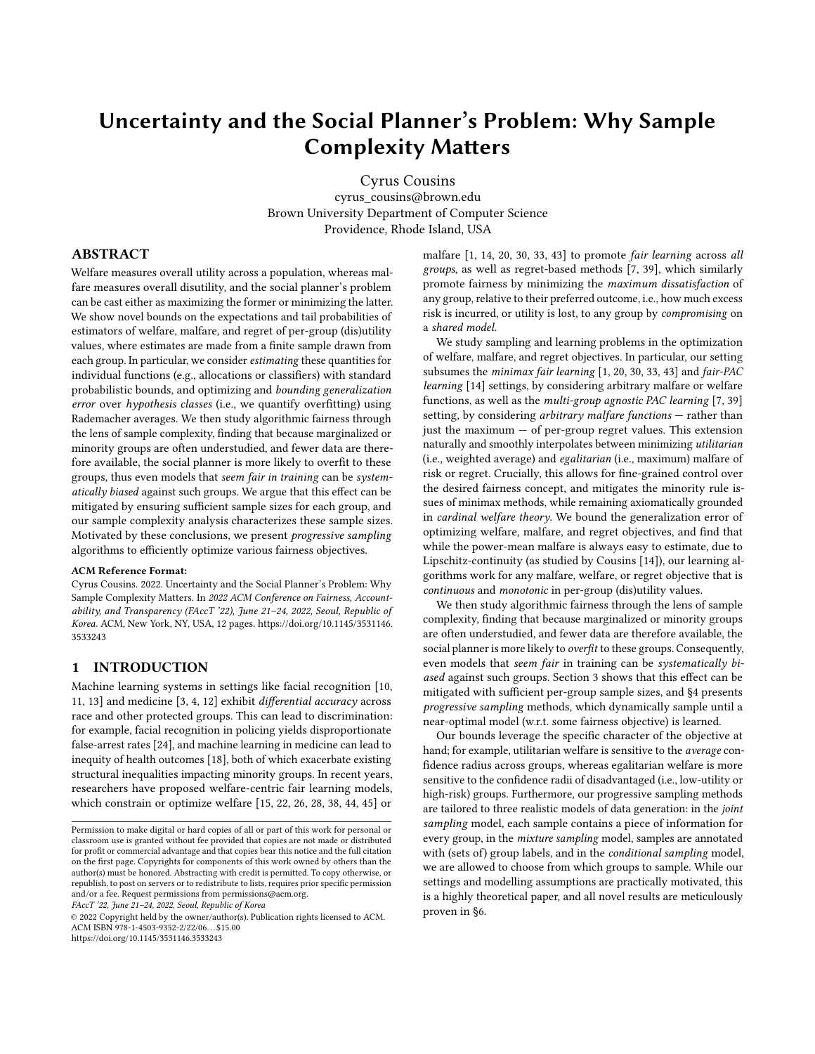thus if  $M^1$ ;  $W^0$  is -Lipschitz-continuous w.r.t. some norm k  $k_M$ , we have

$$
\begin{array}{ccccccccc}\nM & i & \nabla & \hat{E} & \text{is} & h & \hat{S}_i & ; & W & \nabla & i & \nabla & \hat{E} & \text{is} & h & \hat{S}_i^2 & ; & W \\
\hline\n\text{P}_{\text{LUG-IN REGRET MAIFARE}} & & & & & \nabla & & & & \nabla & & & & \nabla & & & & \nabla & & & & \nabla & & & & \nabla & & & & \nabla & & & & \nabla & & & & \nabla & & & & \nabla & & & & \nabla & & & & & \nabla & & & & & \nabla & & & & & \nabla & & & & & \nabla & & & & & & \nabla & & & & & & \nabla & & & & & & \nabla & & & & & & & \nabla & & & & & & & \nabla & & & & & & & \nabla & & & & & & & \nabla & & & & & & & \nabla & & & & & & & \nabla & & & & & & & \nabla & & & & & & & \nabla & & & & & & & \nabla & & & & & & & \nabla & & & & & & & \nabla & & & & & & & \nabla & & & & & & & \nabla & & & & & & & \nabla & & & & & & & \nabla & & & & & & & \nabla & & & & & & & \nabla & & & & & & & \nabla & & & & & & & \nabla & & & & & & & \nabla & & & & & & & \nabla & & & & & & & \nabla & & & & & & & \nabla & & & & & & & \nabla & & & & & & & \nabla & & & & & & & \nabla & & & & & & & \nabla & & & & & & & \nabla & & & & & & & \nabla & & & & & & & \nabla & & & & & & & \nabla & & & & & & & \nabla & & & & & & & \nabla & & & & & & & \nabla & & & & & & & \nabla & & & & & & & \nabla & & & & & & & \nabla & & & & & & & \nabla & & & & & & & \nabla & & & & & & & \nabla & & & & & & & \nabla & & & & & & & \nabla & & & & & & & \nabla & & & & & & & \nabla & & & & & & & \nabla & & & &
$$

Note that similar bounds on the expectation of the regret plugin estimator can be shown along the lines of theorem 3.6, mutatis mutandis for regret. Note also that theorem 3.7 matches theorem 3.4 up to a 2-factor attached to the confidence radius, thus in some sense regret is "about twice as difficult" to estimate as malfare or welfare.

#### 3.3 Information Asymmetry and Where Best to Sample

An intuitive notion of fairness would suggest that we should draw equally-sized samples for each group, or perhaps samples proportional to population frequencies. If the goal is to optimize or bound welfare, malfare, or regret, such intuitive notions should be rejected, as they are critically flawed. We now discuss the ways in which samples drawn from one group or another may be more or less valuable to for the purposes of estimating or optimizing these objectives.

As a brief thought experiment, suppose we want to estimate the egalitarian welfare of a population consisting of two groups. Suppose also that their utilities are similarly difficult to estimate, and their expected utilities are <sup>h</sup>1; <sup>10</sup>i. In such a setting, nearly all sampling effort should be invested in estimating the utility of group one, as once group two is estimated to within 9 AE, there is no further benefit to improving their estimate. Thus the optimal sampling strategy depends on the true expected utilities, the difficulties of estimating utilities for each group, and the objective in question, and in no way resembles the naïve uniform or proportional so-called "fair sampling strategies" described above. We argue that such naïve strategies are dangerous, as they introduce subtle biases and fairness issues, but the rationale for alternative sampling strategies is only apparent through the lens of sample complexity.

We now ask the questions, "Given a sample, what do we need to obtain sharper bounds?" and "How much will bounds improve with a larger sample?" We begin with a soft discussion as to why samples from different groups may contribute more or less information to an estimate, which we measure as the improvement to tail bounds that additional samples may yield. In particular, for malfare, we discuss the improvement to upper bounds, but the entire discussion can be directly translated to welfare and lower bounds in the usual manner. We then quantify these factors mathematically, and we develop these ideas further in section 4.2, where they are used to adaptively choose from which group to sample.

(1) Variable estimation difficulty or overfit potential: Often it is inherently more difficult to give bounds on the expected sentiment for some groups than for others. This can be due to differences in variances (see theorem 3.1) or in uniform convergence bounds (see theorem 3.2), and in general, occurs when  $\hat{ }$  AEV<sup>1</sup>:::<sup>o</sup> has  $\hat{ }$ <sub>i</sub>  $\hat{j}$ , even while  $m_i$   $m_j$ .

- (2) Variable task difficulty: Some groups may be inherently easier or harder to satisfy than others; e.g., regression and classification problems are generally easier for groups with labels that are more homogeneous, and regret varies with the optimal expected sentiment  $S_i^7$ . This is crucial, because most malfare and welfare functions are more sensitive<sup>3</sup> to highrisk or low-utility groups, thus the ease of satisfying a group effects their impact on malfare and welfare values.
- (3) Aggregator function interactions: Complicated interactions also occur through the malfare or welfare function. When learning over  $H$ , the set of near-optimal functions is more relevant than those that are clearly bad choices overall, and groups that tend to be mutually satisfied (i.e., are correlated) are less impactful to the overall objective. Weight values in malfare or welfare functions may also differ between groups, and higher-weighted groups are usually more impactful.

Quantifying the Incremental Value of Sampling. We measure the impact of sampling by asking the question, "What is the incremental value of a single sample drawn for some group?" In particular, we quantify the value of the sample as the reduction in uncertainty, as measured by the infimum UCB (over  $H^{\circ}$ , and although this is inherently a discrete question, we approximate the answer for the power-mean malfare with tools from calculus of infinitesimals.

Note that all such analysis is necessarily heuristic, as we fundamentally cannot answer this question without more information: it is precisely because we are trying to estimate unknown means that we can't know how the samples we draw will impact the empirical means. For now, we heuristically assume that our estimated expectations are reasonably accurate, and consider what will happen as tail bounds sharpen with additional samples. The strategy we thus employ is to make a reasonable guess as to how sampling might impact the UCB by assuming that the empirical mean will not be strongly affected, and all confidence intervals over  $m$  samples will contract at a  $\frac{1}{m}$  rate.

Property 3.8 (Incremental Gain of Sampling). Suppose power-mean malfare  $\Lambda p^1$ ;  $w^0$ , sample  $x^0$ ;  $w^0$  with group sample sizes  $m^0$ ple sizes  $m_1$ ; and let  $x^{0}$ ;  $\theta$  extend x; to sample sizes  $m_1^0$ , where  $m_2^0 = m + \pi$ ; i.e., group *i* has one additional sample where  $m^0 = m + 1$ , i.e., group *i* has one additional sample.<br>Now let  $\hat{r} = \frac{A F V / m}{r} \times r^0$  and  $\hat{r} = \frac{A F V / m^0}{r} \times r^{0}$ . Now, let  $\hat{\Lambda}$  AEV'm;  $\overrightarrow{x}$ ;  $\overrightarrow{0}$  and  $\overrightarrow{a}$  and take  $\hat{h}$  argmin<sub>h2</sub> $\overrightarrow{M}$ <sub>0</sub> i  $\overrightarrow{V}$ and take  $\hat{h}$  argmin<sub> $h_2 \mapsto M_p$ </sub>  $\hat{v}$   $\hat{E}_{\mathbf{x}_{i;...i;}}$   $\hat{v}$   $h\hat{h}$  +  $\hat{v}$ ;  $w$ , 0 0 º,  $\hat{M}$   $M_p$  i  $\nabla \hat{E}_{\mathbf{x}_{i;...i;1}}$   $\hat{n}$ /k;  $w$ ,  $\hat{\mathbf{M}}$  $M_{p}$  *i*  $\mathbb{F}$   $\hat{\mathsf{E}}_{\mathbf{x}_{i}}$ ;  $\sum_{i} \hat{h}$   $\hat{h}$  +  $\hat{i}$ ;  $\mathbf{w}$  , and  $\tilde{N}$  $\tilde{M}$ 

$$
\inf\nolimits_{h2}\text{H/M}_p \text{ if } \mathbb{F} \text{ } \hat{\mathsf{E}}_{\mathbf{x}_{i;\cdot}^{0},\mathbf{x}_{i;\cdot}^{0}} \text{ } h\text{ with } \tilde{\mathsf{y}}; \mathbf{w} \text{ .}
$$

<sup>&</sup>lt;sup>3</sup>In particular, this holds for all  $p$  , 1 power means, and is axiomatically justified by the Pigou-Dalton transfer principle (definition 2.1 item 7).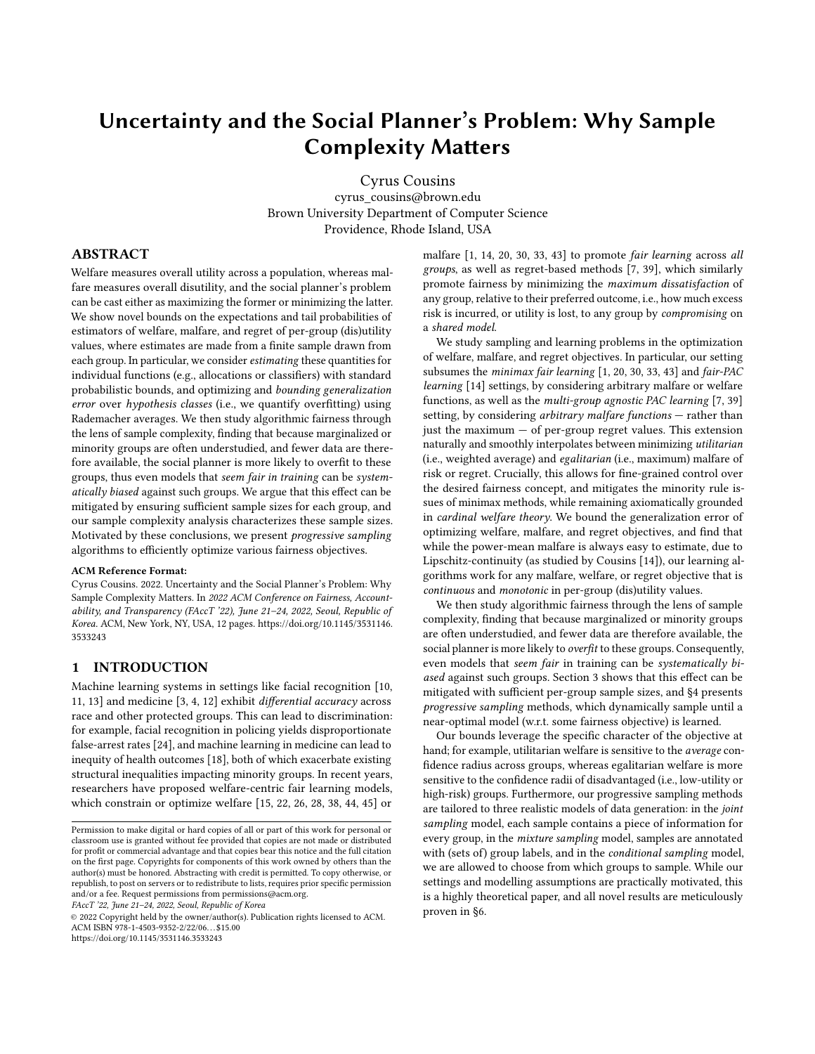Then the incremental impact of sampling from group *i* on the UCB is approximately

$$
\hat{\mathbf{M}}^{\dagger} \quad \tilde{\mathbf{M}}^{\dagger} \qquad \frac{\hat{\mathbf{m}}_{ij}}{2m_{ij} + \frac{3}{2}} \quad \frac{\hat{\mathbf{E}}_{\mathbf{X}_{E;ij}}}{\hat{\mathbf{M}}^{\dagger}} \quad \frac{\hat{\mathbf{h}}_{ik} + \hat{\gamma}^{\dagger}}{\hat{\mathbf{M}}^{\dagger}}^{p-1}
$$
\n
$$
\frac{\hat{\gamma}_{ij} \mathbf{w}_{ij}}{2m_{ij}} \quad \frac{\hat{\mathbf{E}}_{\mathbf{X}_{E;ij}}}{\hat{\mathbf{M}}^{\dagger}} \quad \frac{\hat{\mathbf{E}}_{\mathbf{X}_{E;ij}}}{\hat{\mathbf{M}}^{\dagger}} \quad \therefore \tag{17}
$$

Observe that (17) characterizes the knowledge gain of sampling from group *i*. This gain is *proportional to* the current bound radius  $\hat{i}$ , the group weight  $W_i$ , and the <sup>1</sup> $p$  1<sup>o</sup>th power of the ratio of the UCB risk of group *i* to the UCB malfare, i.e.,  $\hat{E}_{X_{E;i}}$ ,  $\hat{E}_{i}$ ,  $\hat{h}$   $\hat{h}$  +  $\hat{i}$  +  $\hat{A}$   $\hat{i}$   $P$   $\hat{i}$ , and *inversely proportional* to the amount of effort  $P$  is already put and inversely proportional to the amount of effort  $m_i$  already put forth into studying group i. These terms line up with the soft arguments at the top of section 3.3 as to where sampling should occur, but it is only via precisely studying sample complexity and estimation error that we gain quantifiable mathematical insight. In particular, the weight term  $W_i$  appears directly, and  $\frac{\hat{i}}{m_i}$  captures both the difficulty of estimating this group, and also the diminishing incremental improvement produced by further sampling. The ratio between the risk of group  $i$  and the malfare then captures how important group *i* is relative to the other groups, and this term being raised to the  $\frac{1}{p}$  1<sup>o</sup>th power nonlinearly adjusts its impact; higher  $p$  saturate high-risk groups, tending towards egalitarianism, whereas in the  $p = 1$  (utilitarian) case, this term is 1. Finally, for optimization problems, the dependence on  $\hat{h}$  captures other dependencies; namely the behavior of  $M^1$ ;  $W^o$  near the optimal  $h \geq H$  is what matters.

This analysis parallels concerns in stratified sampling, wherein subpopulations are sampled individually, generally to produce an improved mean estimator. In particular, we suggest a form of disproportionate allocation, i.e., per-group sample sizes are not necessarily proportional to their population frequencies. Rather than simply considering variances to estimate means, we holistically consider the objective and uncertainty over various quantities, thus our sample-size selection-strategy is a variant of the minimax sampling ratio [41] method. Chen et al. [12] also suggest disproportionate allocation in fair learning, albeit only for bounding differences of per-group statistics. Similar concerns also arise in optimizing minimax-fair models, wherein Abernethy et al. [1] present an algorithm that takes gradient steps to improve a model for the highestrisk group, though it is unclear whether such methods generalize beyond the egalitarian case.

## 4 PROGRESSIVE AND ACTIVE SAMPLING ALGORITHMS

Section 3 considers fixed sample sizes  $m_1$ : and failure probabilities , and bounds the confidence radius . In this section, we want a fixed - AE guarantee, but we are willing to let an algorithm select the sample size  $m$  (or per-group sample sizes  $m_1$ : ). In particular, due to the cost of sampling and processing data, we want our algorithm to minimize  $m$  (or cost measured as some function of  $m$ ), while constraining and to user-supplied levels. Some cases are simpler than others; the joint sampling model yields a standard progressive sampling method with a fixed sampling schedule, and

the method under mixture sampling is similar, except a subtle conditioning argument allows us to use variably-sized per-group sample sizes based on the order groups are sampled in. For the conditional sampling model, we develop an active sampling approach, which makes cost-sensitive decisions as to which group to sample at each iteration. More details on sampling schedules and other aspects of our progressive sampling algorithms are given in section 7.

We can't simply draw samples one-by-one, compute bounds using ^  $AEV^{\dagger}m$ ; ;  $x$ ;  $\circ$  after each sample, and terminate when a sufficiently sharp bound is available, because the possibility of early termination leads to the multiple comparisons problem, wherein by chance the desired confidence radius is met at some timestep. Progressive sampling algorithms correct for this by establishing a sampling schedule S and failure probability schedule , which usually dictate that, at timestep t, we take a tail-bound with  $= t$  and sample size  $s_t$ , while ensuring that all bounds hold simultaneously<br>(by union bound) with probability at least 1. Due to this union (by union bound) with probability at least 1 . Due to this union bound, it is inefficient to take bounds after drawing every sample. Furthermore, for technical reasons, we henceforth assume a few mild regularity conditions:

- (1) The *sampling schedule*  $\mathsf{S} \, 2 \, \mathsf{Z}_+^1$  is a strictly monotonically increasing sequence i.e. for all  $t \, 2 \, \mathsf{Z}_ \mathsf{S}_+$ increasing sequence, i.e., for all  $t \, 2 \, Z_+, s_t \, s_{t+1};$
- (2) The *failure probability schedule*  $\int_{0}^{2}$   $\frac{10!}{1}$  is a sequence that sums to some  $2^{-10}$ ; 1<sup>o</sup>, i.e.,  $\begin{array}{c} 1 \\ 7 \\ 1 \end{array}$   $\downarrow$  = k k<sub>1</sub> = ; &<br>The distribution-free bound sup
- (3) The distribution-free bound  $\sup_{\mathbf{x}}$ ;  $k$  AEV<sup>1</sup>m; ;  $\mathbf{x}$ ;  $\circ k$  is monotonically decreasing in  $m_1$ : and for any norm k k.

In order to prove that a progressive sampling algorithm produces a (probabilistically) correct answer, it is crucial to show that it does not loop indefinitely. We now introduce -convergent schedules, which require all sentiment values to eventually be - estimated w.r.t. some norm  $k_{M}$ , yielding welfare, malfare, or regret bounds via theorems 3.4 and 3.7.

Definition 4.1 ( -Uniformly-Convergent Schedule). For any 0, a sampling schedule s and failure probability schedule are uniformly-convergent w.r.t.  $AEV^{\dagger}$ : : :  $\circ$  and some norm k k<sub>M</sub> if

\n
$$
\inf_{t \geq 2}
$$
\n $\sup_{t \geq 2} \sup_{\chi \in \mathcal{S}_t} \text{KAEV}^{\text{th}} \text{S}_t$ \n $\inf_{t \geq 2} \inf_{t \geq 0} \text{KAEV}^{\text{th}} \text{S}_t$ \n $\inf_{t \geq 0} \text{KALV}^{\text{th}} \text{S}_t$ \n

\n\n $\inf_{t \geq 0} \text{KALV}^{\text{th}} \text{S}_t$ \n

unlucky we are with the sampled  $x_i$ , if AEV<sup>1</sup>:::<sup>o</sup> bounds tails once for each timestep  $t$  of the schedule, with per-group samples of size at least  $s_t$  and failure probability  $t$ , then at some point on estimate of the objective will be produced. Note that peither an -estimate of the objective will be produced. Note that neither data-dependent AEV<sup>1</sup>:::<sup>0</sup> bounds on sentiment values, nor sufficient per-group error radii to estimate the objective, are known a priori, thus it is not always possible to select a sufficient static sample size, however, definition 4.1 is *more flexible*, as it requires only the existence of a (possibly unknown) sufficient sample size. Even when a sufficient sample size is known, unless it is also necessary, progressive sampling is usually more sample-efficient, often terminating closer to the necessary sample size.

With this definition in hand, we now construct finite -, and infinite 0-, uniformly-convergent schedules. In the context of this work (see theorems 4.5 and 4.6), the finite schedule can be employed with a Lipschitz-continuous objective and an a priori known distributionfree bound on  $AEV^{\dagger}$ ::: $\degree$ , and when the objective is continuous but not Lipschitz-continuous, or the class  $H$  is uniformly-convergent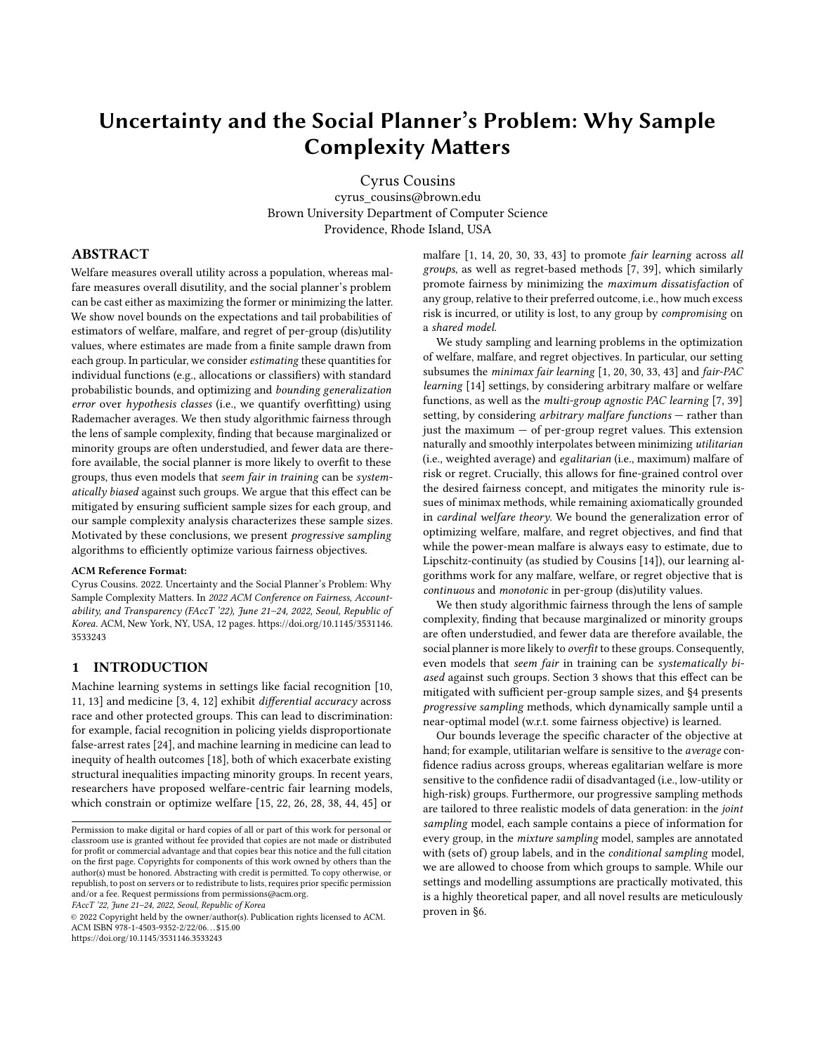at an unknown rate, the infinite schedule can still be used. Both are based on geometrically-increasing sample sizes, which are efficient because they never "overshoot" any sample size by more than a constant factor, yet they cover an exponentially large range of sample sizes in a linear number of timesteps.

Definition 4.2 (Geometric-Uniform Schedule). Suppose optimistic size 1, common ratio > 1, and schedule length  $T \nvert 2 \nvert Z_{+}$ . The geometric-uniform schedule then takes (geometric)  $s_t$  d <sup>t</sup>e and (uniform)  $t = \tau \mathbb{1}_{1; \dots; T} t^{\circ}$ .

Definition 4.3 (Double-Geometric Schedule). Suppose optimistic size  $> 0$  and common ratio  $> 1$ . The double-geometric schedule then takes (geometric)  $s_t$  d <sup>t</sup>e and (geometric)  $t = \frac{1}{t}$  $\frac{1^{\circ}}{t}$ .

Lemma 4.4 (Sufficient Conditions for Uniformly-Convergent Geometric Schedules). Suppose as in definition 4.2, and assume

$$
\sup_{\mathbf{X}_{\tau}^{\tau} \circ 2^{\tau} \mathsf{X}^{\tau} \mathsf{Y}^{\circ S} \mathsf{T}} g^{\mathsf{KAEV}}^{\mathsf{th}} \mathsf{h} \mathsf{S} \mathsf{T}^{\tau} \cdots \mathsf{S} \mathsf{T}^{\mathsf{T}} \mathsf{T}^{\tau} \mathsf{X}^{\tau} \mathsf{K}^{\mathsf{N}} \mathsf{K}^{\tau} \mathsf{K}^{\tau} \tag{19}
$$

Then the geometric-uniform schedule  $(s, )$  is -uniformlyconvergent. Furthermore, suppose as in definition 4.3, <sup>1</sup> , and

$$
\lim_{m! \to \infty} \sup_{\substack{\lambda \in \mathbb{R}^2 \\ 0 \leq \lambda \leq \infty}} \sup_{\gamma \circ m} k A E V^1 h m; \dots; m; \frac{1}{\eta m + 10}, \mathbf{x}; \quad \mathbf{A}^k = 0 \tag{20}
$$

Then the double-geometric schedule (s, ) is 0-uniformlyconvergent.

The initial and final sample sizes of the geometric-uniform schedule are  $s_1 = d$  e and  $s_7 = d$  e, and often one can set  $s_1 \cdot$  and  $s_7 \cdot$  to minimal sufficient and maximal necessary sample sizes (as  $s<sub>T</sub>$  to minimal sufficient and maximal necessary sample sizes (as a function of  $T$ , the objective, and other parameters). To maximize statistical efficiency while controlling the value of , we may select the minimal T such that dlog  $\frac{s_{T}}{s_{1}}e = T^{4}$  In particular, assenced the minimal r such that dog  $s_1 \circ -r$ . In particular, as<br>suming a -Lipschitz objective, the Hoeffding (item 1) and empirical Bernstein (item 3) bounds of theorem 3.1 imply -uniformly convergent schedules via (19) of length  $T$  2  $\frac{1}{\log}$   $\frac{r}{r}$  For the double-geometric schedule, we may similarly set  $s_1$ • to a minimal sufficient sample size, and here there is no  $\bar{T}$  parameter (the schedule is infinite), thus we may simply select as desired. This yields 0-uniformly convergent schedules, since each of the bounds of theorem 3.1 satisfy (20), as do those of theorem 3.2, so long as  $\lim_{m!}$  1 max<sub>i2</sub>  $\sum R_m$ <sup>1</sup>s  $H$ ;  $D_i$ <sup>o</sup> = 0.

Both of the above schedule types are efficient, in the sense that for the smallest (per-group) static sample size  $m^2$  at which we obtain the bound  $\frac{3}{7}$ , some  $\hat{m}$  d  $m^2$ d  $m^2$ e is contained in the schedule, and the bound ^ AEV<sup>1</sup>h $\hat{m}$ ; :::; $\hat{m}$ i;:::<sup>o</sup> exceeds <sup>?</sup> only because it uses a smaller value. In particular, assuming bours because it uses a smaller value. In particular, assuming<br>all bounds  $\frac{f}{d}$  or  $u_2$  ln  $\frac{f}{d}$  we have for each group if that  $\frac{i}{\hat{i}}$ <br>uniforr 2<br>and double-geometri 2  $\frac{u}{\log^{\frac{1}{2}}m^{\frac{2}{9}}+u}$  for the geometricuniform and double-geometric schedules, respectively. Note also that  $\log^1 7^\circ 2$  log  $\log \frac{L}{\cdot \cdot \cdot}$ , whereas  $\log^1 7^\circ 2$  O<sup>1</sup>log  $\frac{L}{\cdot \cdot \cdot}$ , thus the geometric-uniform schedule is preferable, unless  $m^2$  is exponentially smaller than the above bound, e.g., if  $= 1$ , or if a nonlinear objective is more stable to perturbations of each  $S_i$  about its optimum than the Lipschitz constant would indicate.

#### 4.1 The Linear Progressive Sampling Algorithm

The core of linear progressive sampling (algorithm 1) is quite simple. At timestep  $t = 1$ , we guess that a sample of size  $s_1$  for all groups will be sufficient to - optimize the objective, we draw at least such a sample (7 for joint sampling, or lines 9–12 for mixture sampling), compute tail bounds (line 14), then determine the UCB-optimal  $h$ (line 16). If our bounds indicate that  $\hat{h}$  is provably near-optimal, algorithm 1 terminates, otherwise, our guess was incorrect, so we increment t, draw at least  $s_t$  samples (per-group), and repeat. The basic principle is quite flexible, so algorithm 1 can maximize welfare or minimize malfare of risk or regret via the LINEARPSLoss<sup>1</sup>: ::<sup>0</sup> and LINEARPSUTILITY<sup>1</sup>: :: º routines.

Theorem 4.5 shows that algorithm 1 learns an optimal  $h 2 H$ to within user-specified - AE. We require only monotonicity (axiom 1) and continuity (axiom 3) of  $M^1$ ;  $W^0$ , though the powermean malfare family is convenient, as Lipschitz-continuity (thm. 2.2 item 3) permits efficient -uniformly-convergent schedules (def. 4.2). NB this result generalizes to welfare objectives, mutatis mutandis (flipping infima and suprema), via the negation reduction of lines 25–30.

**Theorem 4.5** (Linear PS Guarantees). Suppose  ${}^{1}\hat{h}$ ;  $\hat{\mu}$ ;  $\hat{\gamma}$ ;  $M^{2\#0}$ <br>LINEARPSLOSS Utility of Distribution State of Minim<sup>o,</sup> Rec<sup>o</sup> Minimo  $\text{LinearPSLoss}^1\text{H};\,{}^{\text{a}}; \text{ D}; \text{AEV}^1; \text{ : }^{\text{o}}; \text{ s}; \text{ ; } \text{ : } M^1; \text{W}^{\text{o}}; \text{Reg}^{\text{o}}, \text{ M}^1\text{S}; \text{W}^{\text{o}}$ is continuous and monotonic in S with (possibly infinite) Lipschitz constant  $M$  w.r.t. k  $k_M$ , and the schedules <sup>1</sup>s; <sup>o</sup> are  $\frac{M_1 + 1}{M_1 + 1}$ uniformly-convergent w.r.t.  $AEV^{\dagger}$ :::<sup>0</sup> and k k<sub>M</sub>. Now take  $\mu$  to be the true objective value of  $\hat{h}$  and  $\mu^2$  to be the true objective value of the optimal  $h^2$ , i.e., if REG = FALSE, take  $\mu$  M<sup>1</sup>i  $\bar{V}$  E<sub>D<sub>i</sub></sub>»  $\hat{h}$ <sup>k</sup>,  $w^o$  and  $\mu^2$  inf<sub>h2H</sub> M<sup>1</sup>i  $\bar{V}$  E<sub>D<sub>i</sub></sub>»  $\hat{h}$ <sup>k</sup>,  $w^0$ , or if REG = TRUE, take (see section 3)  $\mu$  $\hat{\mathsf{h}}^{\mathsf{o}}$ ;  $\mathsf{w}^{\mathsf{o}}$  and<br>ility at least  $\mu^2$  inf<sub>h2H</sub> M *i* <sup>y</sup> Reg<sub>i</sub><sup>1</sup>*h*<sup>o</sup>; **w** . Then, with probability at least 1 , the output  ${}^{1}\hat{h}$ ;  $\hat{\mu}$ ;  $\hat{\gamma}$ ;  $M^{2\#0}$  obeys

$$
(1) \quad |\hat{\mu} \quad \mu| \quad \hat{ } \quad ; \quad \& \quad
$$

(2) 
$$
M^{2#} \mu^2 \mu \mu + \hat{\mu} + 2
$$
.

## 4.2 The Braided Progressive Sampling Algorithm

Under the joint and mixture sampling models (algorithm 1), progress is linear (i.e., sequential, as no decisions are made except when to terminate); we begin with (at least)  $s_1$  samples per group, and advance until we reach a sufficient sample size to terminate with the desired guarantee. For the conditional sampling model, we present braided progressive sampling (algorithm 2), which is actively making decisions, thus linear analysis is not applicable. At each *iteration* (line 6) of algorithm 2, a group index  $i \, 2 \, Z$  is chosen (line 16) to optimize an estimate of knowledge-gain via logic similar to that of section 3.3 (due to space limitations, the details are deferred to section 7.2), and group  *is sampled for one additional timestep* (line 17), i.e., the sample associated with group  *is extended from* size  $s_{t_i}$  to  $s_{1+t_i}$ , where  $t_i$  denotes the current timestep for group *i*.<br>The remainder of algorithm 2 is essentially the same as algorithm 1: The remainder of algorithm 2 is essentially the same as algorithm 1; after sampling, we optimize (line 9) a UCB-optimal  $\hat{h}$ , bound the

 ${}^{4}$ The base- logarithm arises intuitively, as the number of times the sample size must increase by a factor to reach  $S_T$  from  $S_1$ .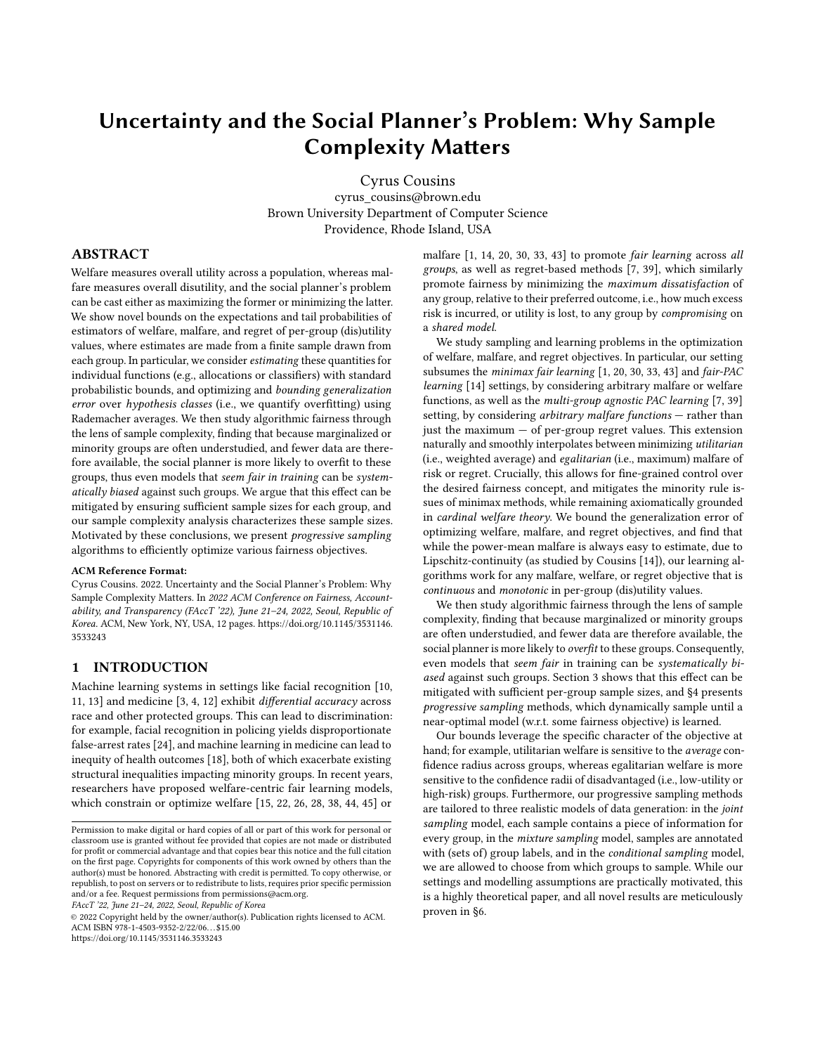Algorithm 1 Fair Learning with Linear Progressive Sampling under the Joint and Mixture Sampling Models Algorithm 1 Fair Learning with Linear Progressive Sampling under the Joint and Mixture Sampling Models

1:  $\mathbf{procedure}\ \text{LINEARPSLoss}(\mathcal{H}, \ell(\cdot, \cdot), \mathcal{D}, \text{AEV}(\dots), \mathbf{s}, \delta, \varepsilon, \mathsf{M}(\cdot; \mathbf{w}), \text{Reg}) \rightarrow (\hat{h}, \hat{\mu}, \hat{\varepsilon}, \mathsf{M}^{\star \downarrow})$ 2: input: Hypothesis class  $\mathcal{H} \subseteq X \to \mathcal{Y}'$ , loss function  $\ell(\cdot, \cdot): \mathcal{Y}' \times \mathcal{Y} \to [0, c]$ , joint or mixture distribution  $\mathcal{D}$ , additive error vector bound  $AEV(m, \delta, x, y)$ , schedule  $s \in \mathbb{Z}_+^\infty$  and  $\delta \in [0, 1)^\infty$ , confidence radius  $\varepsilon$ , weighted malfare  $\mathcal{M}(\cdot; w)$ , and Boolean REG 3: **output:** Empirically UCB-optimal  $\hat{h}$ , empirical malfare estimate  $\hat{\mu}$ , confidence radius  $\hat{\epsilon}$ , and lower bound on minimal malfare  $\mathbf{M}^{\star\downarrow}$ 4:  $m_{1:g} \leftarrow 0; x_{1:g} \leftarrow \langle \langle \rangle, \ldots, \langle \rangle \rangle; y_{1:g} \leftarrow \langle \langle \rangle, \ldots, \langle \rangle \rangle$ ⊲ Initialize per-group sample counts, empty per-group sample lists 5: for  $t \in 1, 2, \ldots$  do  $\rightarrow$  Progressive sampling timesteps 6: if  $D$  is joint sampler then 7:  $(x_{1:g,s_{t-1}+1:s_t}, y_{1:g,s_{t-1}+1:s_t}) \sim \mathcal{D}^{s_t-s_{t-1}}$  $\triangleright$  Sample from joint distribution (assume  $s_0 = 0$ ) 8: **else if**  $D$  is mixture sampler **then** while  $\min_i m_i < s_t$  do 10:  $(x, y, z) \sim \mathcal{D}$  > Draw  $X \times \mathcal{Y} \times 2^{\mathcal{Z}}$  triplet (domain, codomain, groups) 11:  $\forall i \in \mathbb{Z} : m_i \leftarrow m_i + 1; (x_{i,m_i}, y_{i,m_i})$  $\triangleright$  Increment counts and store samples for each group *i* associated with  $(x, y)$ 12: end while 13: end if 14:  $\hat{\varepsilon}_{1:g} \leftarrow (1 + \mathbb{1}_{\text{Reg}}) \text{AEV}(m, \delta_t, x, y)$ , 𝒙,𝒚) ⊲ Bound additive error of per-group supremum deviations (w.h.p.) 15:  $\forall i \in \mathcal{Z}: \ \hat{S}_i \leftarrow (\inf_{h \in \mathcal{H}} \hat{\mathbb{E}}_{\mathbf{x}_{i,:}, \mathbf{y}_{i,:}}[\ell \circ h])$ if Reg else 0 ⊲ Set regret baseline of per-group minimal empirical risks (or 0 if ¬Reg) 16:  $\hat{h} \leftarrow \operatorname*{argmin}_{h \in \mathcal{H}} \mathcal{M}(i \mapsto c \wedge \operatorname*{\widehat{E}}_{x_i, y_i, \ell} [c \circ h] - \hat{S}_i + \hat{\varepsilon}_i; w)$  $\triangleright$  Compute UCB-optimal  $\hat{h}$ 17:  $\mathbb{M}^{\star\downarrow} \leftarrow \inf_{h \in \mathcal{H}} \mathbb{M}(i \mapsto 0 \vee \inf_{\mathbf{x}_{i}, \mathbf{y}_{i}} [\ell \circ h] - \hat{S}_{i} - \hat{\epsilon}_{i}; w)$ ⊲ Lower-bound optimal ★<sup>W</sup> 18: (  $\hat{M}^{\downarrow}, \hat{M}^{\uparrow} \rangle \leftarrow \left( M(i \mapsto 0 \vee \det_{\mathbf{x}_{l,:},\mathbf{y}_{l,:}} [ \ell \circ \hat{h}] - \hat{\mathcal{S}}_i - \hat{\mathcal{e}}_i; \mathbf{w} ), M(i \mapsto c \wedge \det_{\mathbf{x}_{l,:},\mathbf{y}_{l,:}} [\ell \circ \hat{h}] - \hat{\mathcal{S}}_i + \hat{\mathcal{e}}_i; \mathbf{w}) \right) \Rightarrow \text{LCB} \text{ and UCB} \text{ on } \hat{h} \text{ (regret) malfare}$ 19: **if**  $\hat{M}^{\dagger} \leq$ ★W<sup>↓</sup> + 2𝜀 then ⊲ Check if desired error guarantee is met (termination condition) 20:  $(\hat{\mu}, \hat{\varepsilon}) \leftarrow \left( \frac{1}{2} (\hat{\Lambda}^{\downarrow} + \hat{\Lambda}^{\uparrow}), \frac{1}{2} (\hat{\Lambda}^{\uparrow} - \hat{\Lambda}^{\downarrow}) \right)$ ► Symmetric estimate  $\hat{\mu}$  and confidence radius  $\hat{\varepsilon}$  of (regret) malfare of  $\hat{h}$ 21: **return**  $(\hat{h}, \hat{\mu}, \hat{\varepsilon}, M^{\star \downarrow})$  $\triangleright$  Return UCB-optimal  $\hat{h}$ ,  $\hat{\epsilon}$ -estimate of M( $\cdot;\bm{w})$ , and lower-bound on optimal malfare M\* $^{\downarrow}$ 22: end if 23: end for 24: end procedure 25: procedure LINEARPSUTILITY( $H$ , u(·, ·),  $\mathcal{D}$ , AEV(...), s,  $\delta$ ,  $\varepsilon$ ,  $M(\cdot; w)$ , REG)  $\rightarrow (\hat{h}, \hat{\mu}, \hat{\varepsilon}, M^{\star\uparrow})$ 26: **input:** Utility function  $u(\cdot, \cdot): \mathcal{Y}' \times \mathcal{Y} \rightarrow [0, c]$ , weighted aggregator function  $M(\cdot, \mathbf{w})$  (malfare if Reg, otherwise welfare), see line 2 27: **output**: Empirically LCB-optimal  $\hat{h}$ , empirical welfare  $\hat{\mu}$ , confidence radius  $\hat{\varepsilon}$ , and UB on maximal welfare M\*↑ (*or similar for regret*) 28: (  $\hat{h}, \hat{\mu}, \hat{\epsilon}, M^{* \dagger}$   $\leftarrow$  LINEARPSLOSS( $\mathcal{H}, c - u(\cdot, \cdot), \mathcal{D}, \text{AEV}(\dots), s, \delta, \epsilon, (2\mathbb{1}_{\text{Reg}} - 1) \mathcal{M}(\mathcal{S}_i \mapsto c - \mathcal{S}_i; w), \text{Reg}$ )  $\triangleright$  Negate to flip inf and sup 29: **return**  $(\hat{h}, r - \hat{\mu}, \hat{\varepsilon}, (2\mathbb{1}_{\text{Reg}} - 1)\mathbf{M}^{\star})$ 

30: end procedure

objective (lines  $10-11$ ), and terminate if the user supplied guarantee is met, otherwise we continue.

net, otherwise we continue.<br>There is thus a *lattice* of possible sample size vectors **m**. To avoid<br>nion bound over this (exponentially large) lattice we analyze.<br> $(1)$   $|\hat{\mu} \hat{\mu}|$   $\hat{\mu}$  ; & the method as a *braid*, in that progressive sampling sequences are concurrently active, and at each iteration we select some group  $i$ , and advance the schedule by one timestep for only group i. Con-<br> $\overline{5}$  **CONCLUSION** Fits work generalizes existing theories of fair mach<br>  $\frac{1}{\sqrt{2}}$ ,  $\frac{1}{\sqrt{2}}$ , i.e., we operate on one group at a<br>
ther than over all groups as in the linear algorithm (a).  $\hat{h}$  AES  $m_i$ ;  $\frac{t_i}{g}$ ;  $\chi_{i;i}$ ; i.e., we operate on one group at a with welfare, malfare, and regret objectives, thus sultime, rather than over all groups as in the linear algorithm (al-<br>minimax fair learning [1, a union bound over this (exponentially large) lattice, we analyze sequently, we must use (line 17) the additive error scalar bound gorithm 1 line 14). Similar analysis is employed for multi-armed bandits, where a union bound is taken over all timesteps and each arm being sampled. We now show correctness of algorithm 2.

 ${\bf BRAIDEDPSLoss}^{\dagger} H; ``\vdots, ``\vdots, \text{AES}^{\dagger} :: \vdots, ``\text{S};~~;~~; M^{\dagger} ; W^{\text{o}}{}_{\text{F}} \text{Res}^{\text{o}} ,$ 

 $M^1S; w^0$  is continuous and strictly monotonic in S<br>with (possibly infinite) Lipschitz constant  $_M$  w.r.t. with (possibly infinite) Lipschitz k  $\rm{k_M}, \;\;$  and  $\;\;$  the  $\;\;$  schedules  $^{-1}$  S;  $^{-\circ}$   $\;$  are  $\frac{1}{M^1 1 + \mathbb{1}_{\mathrm{Res}}^0}$ -uniformlyconvergent w.r.t.  $k_{M}$  and the *additive error vector bound* AEV<sup>1</sup>m; ; **x**;  $\circ$  AES<sup>1</sup>m<sub>1</sub>;  $\frac{\delta}{g}$ ; **x**<sub>1</sub>; <sub>1</sub>°; ::::; AES<sup>1</sup>m ;  $\frac{\delta}{g}$ ; **x** ;  $\circ$  Now take  $\mu$  to be the true objective value of  $\hat{h}$  and  $\mu$ <sup>2</sup> to be the true  $\frac{\delta}{g}$ ;  $X_1$ ;  $\frac{1}{1}$ °; :::; AES<sup>1</sup> $m$ ;  $\frac{\delta}{g}$ ;  $X$ ;  $\frac{0}{g}$ .

pplied guarantee bijective value of the optimal  $h^2$  (see theorem 4.5). Then, with probability at least 1 , we have

(1) 
$$
j\hat{\mu}
$$
  $\mu j$   $\hat{\mu}$ ; &  
(2)  $M^{2\#}$   $\mu^{2}$   $\mu$   $\hat{\mu}$  +  $\hat{\mu}$   $M^{2\#}$  + 2.

#### 5 CONCLUSION

1 line 14). Similar analysis is employed for *multi-armed* learning [7, 39], and *fair-PAC learning* [14] settings, while enjoying where a union bound is taken over all timesteps and each rigorous statistical learning guarantees and the axiomatization of Sampled. We now show correctness of algorithm 2.<br>
cardinal welfare theory. In particular, we bound the generalization  $\frac{1}{2}$  and complement of  $\frac{1}{2}$  of  $\frac{1}{2}$  of  $\frac{1}{2}$  of  $\frac{1}{2}$  of  $\frac{1}{2}$  or to meet a user-supplied - optimality guarantee **Theorem 4.6** (Braided PS Guarantees). Suppose  ${}^{1}\hat{h}$ ;  $\hat{\mu}$ ; ^;  $M^{2\neq 0}$  is a result generalize output of the suppose to suppose to suppose to the substitution of the second output of the second suppose to the s welfare objectives, mutatis mutandis (flipping infima and suprema), via the negation reduction of lines 25–30. ter of the objective at hand, and our progressive sampling methods This work generalizes existing theories of fair machine learning, with welfare, malfare, and regret objectives, thus subsuming the minimax fair learning [1, 20, 30, 33, 43], multi-group agnostic PAC error and sample complexity of UCB-optimal models, either given a via progressive sampling. Our bounds leverage the specific characare tailored to three realistic models of data generation. We stress that while training UCB-optimal models is analytically convenient, there is also an important fairness impact to this decision, as fair malfare functions (e.g., egalitarian) place strong emphasis on the most disadvantaged groups, which are often understudied minority groups. Cousins  $[14]$  notes that optimizing empirical malfare  $\hat{M}$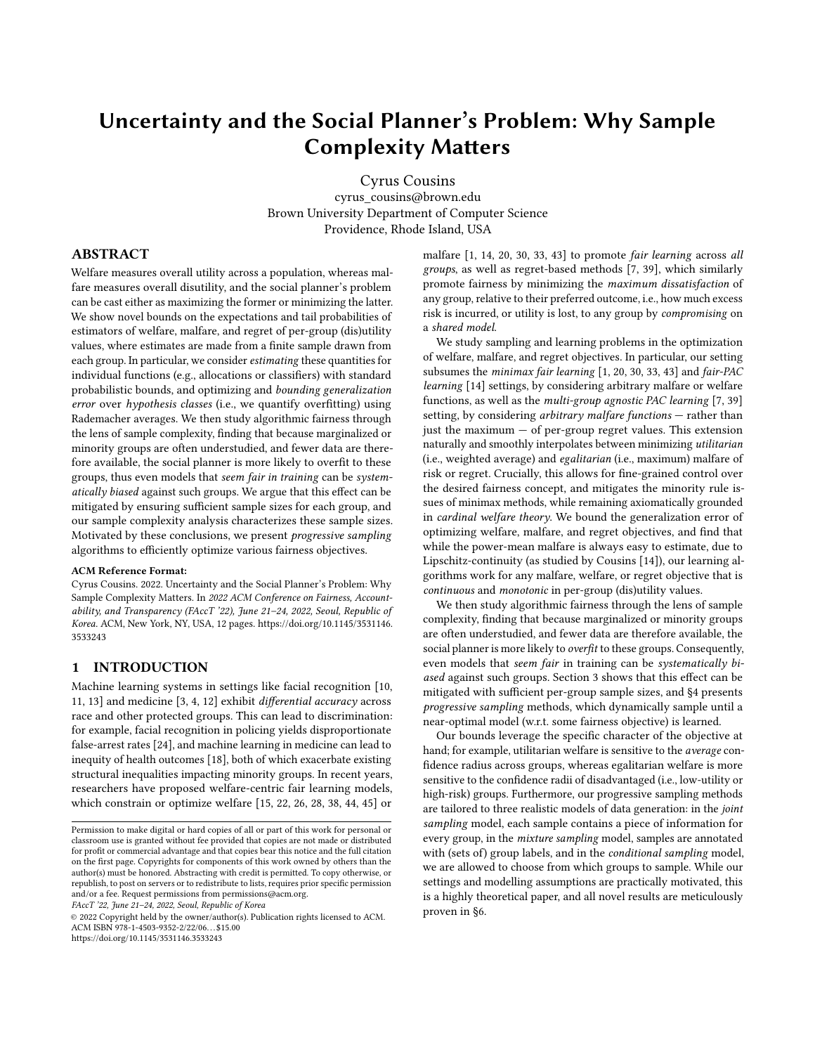#### Algorithm 2 Fair Learning with Braided Progressive Sampling under the Conditional Sampling Model Algorithm 2 Fair Learning with Braided Progressive Sampling under the Conditional Sampling Model

| 1: <b>procedure</b> BRAIDEDPSLOSS( $H, \ell(\cdot, \cdot)$ , $\mathcal{D}_{1:q}$ , $C_{1:q}$ , AES(), s, $\delta$ , $\varepsilon$ , $\mathcal{M}(\cdot; w)$ , REG) $\rightarrow$ $(h, \hat{\mu}, \hat{\varepsilon}, \mathcal{M}^{\star\downarrow})$                                                                        |                                                                                                                                                                                                                                                                                                                                                         |
|----------------------------------------------------------------------------------------------------------------------------------------------------------------------------------------------------------------------------------------------------------------------------------------------------------------------------|---------------------------------------------------------------------------------------------------------------------------------------------------------------------------------------------------------------------------------------------------------------------------------------------------------------------------------------------------------|
| 2:                                                                                                                                                                                                                                                                                                                         | <b>input</b> : Hypothesis class $H$ , loss function $\ell(\cdot, \cdot)$ , per-group distributions $\mathcal{D}_{1:g}$ , cost model $C_{1:g} \in \mathbb{R}^g$ , additive error scalar bound                                                                                                                                                            |
| $\text{AES}(m, \delta, x, y)$ , schedule $s \in \mathbb{Z}_+^{\infty}$ and $\delta \in [0, 1)^\infty$ , confidence radius $\varepsilon$ , weighted malfare $\mathcal{M}(\cdot; w)$ , and Boolean REG                                                                                                                       |                                                                                                                                                                                                                                                                                                                                                         |
| 3:                                                                                                                                                                                                                                                                                                                         | <b>output</b> : Empirically UCB-optimal $\hat{h}$ , empirical malfare estimate $\hat{\mu}$ , confidence radius $\hat{\epsilon}$ , and lower bound on minimal malfare $\mathbf{M}^{\star\downarrow}$                                                                                                                                                     |
| $t_{1:a} \leftarrow 1$<br>4:                                                                                                                                                                                                                                                                                               | $\triangleright$ Initialize per-group timestep indices                                                                                                                                                                                                                                                                                                  |
| $\forall i \in \mathcal{Z}: (x_{i,1:s_1}, y_{i,1:s_1}) \sim \mathcal{D}_i^{s_1}; \hat{\varepsilon}_i \leftarrow (1 + \mathbb{1}_{\text{REG}}) \text{AES}(s_1, \frac{\delta_1}{a}, x_{i,:}, y_{i,:})$<br>5:                                                                                                                 | $\triangleright$ Draw initial sample for all groups & bound error                                                                                                                                                                                                                                                                                       |
| loop<br>6:                                                                                                                                                                                                                                                                                                                 | $\triangleright$ Loop over braided algorithm iterations                                                                                                                                                                                                                                                                                                 |
| $\forall i, j \in \mathcal{Z}, t \in \mathbb{Z}_+ : \tilde{\varepsilon}_{j,t}^{(i)} \leftarrow \left(\hat{\varepsilon}_j \text{ if } i \neq j \text{ else } \hat{\varepsilon}_j \sqrt{\frac{s_{t_j} \ln \frac{\mathcal{G}_t}{\mathcal{S}_{t_j}}}{s_{t+t_j} \ln \frac{\mathcal{G}_t}{\mathcal{S}_{t+t_{j}}}}}\right)$<br>7: | $\triangleright$ Estimate of $\hat{\pmb{\varepsilon}}_j$ after sampling group $i$ for $t$ more iterations                                                                                                                                                                                                                                               |
| $\forall i \in \mathcal{Z}: \hat{S}_i \leftarrow \left(\inf_{h \in \mathcal{H}} \hat{\mathbb{E}}_i[\ell \circ h]\right)$ if REG else 0<br>8:                                                                                                                                                                               | > Set regret baseline of per-group minimal empirical risks (or 0 if ¬REG)                                                                                                                                                                                                                                                                               |
| $\hat{h} \leftarrow \operatornamewithlimits{argmin}_{h \in \mathcal{H}} \mathsf{M}\big(i \mapsto c \wedge \operatornamewithlimits{\hat{\mathbb{E}}}_{\mathbf{x}_i, \mathbf{y}_i, \mathbf{y}_i} \big[\ell \circ h\big] - \hat{S}_i + \hat{\varepsilon}_i; \mathbf{w}\big)$<br>9:                                            | $\triangleright$ Compute UCB-optimal h                                                                                                                                                                                                                                                                                                                  |
| $M^{\star \downarrow} \leftarrow \inf_{h \in \mathcal{H}} M(i \mapsto 0 \vee \inf_{x_i \in \mathbf{U}_i} [\ell \circ h] - \hat{S}_i - \hat{\epsilon}_i; w)$<br>10:                                                                                                                                                         | $\triangleright$ Lower-bound optimal $\Lambda^*$                                                                                                                                                                                                                                                                                                        |
| 11:                                                                                                                                                                                                                                                                                                                        | $(\hat{M}^{\downarrow}, \hat{M}^{\uparrow}) \leftarrow \left(M(i \mapsto 0 \vee \hat{\mathbb{E}}_{x_i, y_i, i}(t \circ \hat{h}) - \hat{S}_i - \hat{\epsilon}_i; w), M(i \mapsto c \wedge \hat{\mathbb{E}}_{x_i, y_i, i}(t \circ \hat{h}) - \hat{S}_i + \hat{\epsilon}_i; w)\right) \Rightarrow \text{LCB and UCB on } \hat{h} \text{ (regret) malfare}$ |
| if $\hat{M}^{\dagger} < M^{\star\downarrow} + 2\varepsilon$ then<br>12:                                                                                                                                                                                                                                                    | $\triangleright$ Check if desired error guarantee is met (termination condition)                                                                                                                                                                                                                                                                        |
| $(\hat{\mu}, \hat{\varepsilon}) \leftarrow \left(\frac{1}{2}(\hat{M}^{\downarrow} + \hat{M}^{\uparrow}), \frac{1}{2}(\hat{M}^{\uparrow} - \hat{M}^{\downarrow})\right)$<br>13:                                                                                                                                             | ► Symmetric estimate of $\hat{\mu}$ of malfare or regret of h                                                                                                                                                                                                                                                                                           |
| <b>return</b> $(h, \hat{\mu}, \hat{\varepsilon}, M^{\star\downarrow})$<br>14:                                                                                                                                                                                                                                              |                                                                                                                                                                                                                                                                                                                                                         |
| end if<br>15:                                                                                                                                                                                                                                                                                                              |                                                                                                                                                                                                                                                                                                                                                         |
| $i \leftarrow \underset{i \in \mathbb{Z}}{\arg \max} \sup_{t \in \mathbb{Z}_+} \frac{1}{C_i(s_{t+t_i} - s_{t_i})} \underbrace{\left(\hat{M}^{\dagger} - M\left(j \mapsto c \wedge \prod_{x_i,y_i} \hat{\mathbb{E}}_{y_i} [t \circ h] - \hat{S}_i + \hat{\varepsilon}_{j,t}^{(i)}; w\right)\right)}$<br>16:                 | ▶ Maximize improvement:cost ratio                                                                                                                                                                                                                                                                                                                       |
| ESTIMATED (REGRET) MALFARE IMPROVEMENT<br>RECIPROCAL COST                                                                                                                                                                                                                                                                  |                                                                                                                                                                                                                                                                                                                                                         |
| $(x_{i,1+s_{t_i}:s_{1+t_i}}, y_{i,1+s_{t_i}:s_{1+t_i}}) \sim \mathcal{D}_i^{s_{1+t_i}-s_{t_i}}; t_i \leftarrow t_i+1; \hat{\varepsilon}_i \leftarrow (1+\mathbb{1}_{\text{Reg}}) \text{AES}(s_{t_i}, \frac{\sigma_{t_i}}{\sigma}, x_{i_i}, y_{i_i})$<br>17:                                                                | $\triangleright$ Sample group <i>i</i> & bound error                                                                                                                                                                                                                                                                                                    |
| end loop<br>18:                                                                                                                                                                                                                                                                                                            |                                                                                                                                                                                                                                                                                                                                                         |
| 19: end procedure                                                                                                                                                                                                                                                                                                          |                                                                                                                                                                                                                                                                                                                                                         |
|                                                                                                                                                                                                                                                                                                                            |                                                                                                                                                                                                                                                                                                                                                         |

overfits to small numbers of sampled minorities, however we ar- $($ i.e., those with large  $\hat{i}$  values) are better addressed. gue that training UCB-optimal models (i.e., optimizing  $\hat{M}$ ) factors uncertainty into training, so that the needs of understudied groups

Our active learning setting under the conditional sampling model is philosophically intriguing, as we find that optimally investing<br> $\frac{1}{2}$ sampling enort under uncertainty is challenging, depends on the<br>objective at hand, and has important fairness impact. In section 3.3. DARPA/F<br>We see that a host of factors involving the objective, function class sharpness of welfare, malfare, and regret bounds, and property 3.8  $\frac{1}{2}$   $\frac{1}{2}$ ,  $\frac{1}{2}$ ,  $\frac{1}{2}$ ,  $\frac{1}{2}$ ,  $\frac{1}{2}$ ,  $\frac{1}{2}$ ,  $\frac{1}{2}$  as  $\frac{1}{2}$   $\frac{1}{2}$ ,  $\frac{1}{2}$ ,  $\frac{1}{2}$ ,  $\frac{1}{2}$ ,  $\frac{1}{2}$ ,  $\frac{1}{2}$ ,  $\frac{1}{2}$ ,  $\frac{1}{2}$ ,  $\frac{1}{2}$ ,  $\frac{1}{2}$ ,  $\frac{1}{2}$ , to how sampling-error impacts fairness, and generalizes the analysis [2] Martin Anthony and Peter L Bartlett. 2009. Neural network learnin r et al. [43] from the egalitarian special-case to arbitrary [3] Ahmed Ashraf, Shehroz Khan, Nikhil Bhagwat, Mallar Chakravarty, and Babak eural Information Processing Systems 31 (2018).<br>Their Bærge-Torbiarn Gundersen Edmund Henden and Kietil و groups to sample based on projected UCB improvement. algorithm 1 does use uniform sample sizes under the joint sampling 2022. Can medical algorithms be fair? Three ethical quandaries and model, and uses whatever is available under the mixture sampling to make more intelligent decisions as to where to allocate sampling [6] George Bennett 1962. Probability inequaliti [7] Avrim Blum and Thodoris Lykouris. 2020. Advancing Subgroup Fairness via sampling effort under uncertainty is challenging, depends on the H, and per-group distributions  $D_{1}$ : all interact to determine the quantifies the incremental UCB improvement of sampling each of Shekhar et al. [43] from the egalitarian special-case to arbitrary power-mean malfare functions. Algorithm 2 then incorporates these ideas into an active sampling algorithm, which dynamically select model, as these are natural choices under these sampling models. In contrast, under the conditional sampling model, algorithm 2 is able effort.

certainty, and sample complexity analysis are tightly intertwined, and must all be considered to best allocate resources in service of the social planner. We are hopeful that this analysis and algorithmic study will lead to a greater emphasis on sample complexity and finite sample analysis for the social planner's problem, which is traditionally analyzed in terms of the asymptotic Bayesian methods

of classical economics. In particular, we are hopeful that this analaning OCB-optinial models (i.e., optimizing M) factors and monotonic indifferent mathematically supports the earl for greater<br>winto training so that the needs of understudied groups visibility of minority groups and the im are better addressed.  $\frac{1}{\sqrt{2}}$  diverse data into (fair) machine learning systems. ysis emphasizes and mathematically supports the call for greater

## nat optimally investing ACKNOWLEDGMENTS

nging, depends on the This work was supported in part by NSF award RI-1813444 and<br>s impact In section 3.3 DARPA/AFRL grant FA8750.

#### REFERENCES

- [1] Jacob Abernethy, Pranjal Awasthi, Matthäus Kleindessner, Jamie Morgenstern, Chris Russell, and Jie Zhang. 2020. Active Sampling for Min-Max Fairness. arXiv preprint arXiv:2006.06879 (2020).
- [2] Martin Anthony and Peter L Bartlett. 2009. Neural network learning: Theoretical foundations. Cambridge University Press.
- an manare runctions. Algorithm is their incorporates these the cancel and analysis is not all analysis in mean<br>an active campling algorithm which dynamically soloct imaging studies. Machine Learning for Health (ML4H) Works Taati. 2018. Learning to unlearn: Building immunity to dataset bias in medical Neural Information Processing Systems 31 (2018).
	- [4] Kristine Bærøe, Torbjørn Gundersen, Edmund Henden, and Kjetil Rommetveit. 2022. Can medical algorithms be fair? Three ethical quandaries and one dilemma. BMJ Health & Care Informatics 29, 1 (2022).
- $t_{\text{Div}}$ <sub>1</sub> Heuth & Cure Hyormancs 25, 1 (2022).<br>[5] Peter L Bartlett and Shahar Mendelson. 2002. Rademacher and Gaussian complexhese are natural choices under these sampling models. In these Risk bounds and structural results. Journal of Machine Learning Research 3, Nov (2002), 463–482.
	- [6] George Bennett. 1962. Probability inequalities for the sum of independent random variables. J. Amer. Statist. Assoc. 57, 297 (1962), 33–45.
- We thus conclude that (welfare-centric) fairness, statistical un-<br>Vol. 11. Sleeping Experts. In Innovations in Theoretical Computer Science Conc Sleeping Experts. In Innovations in Theoretical Computer Science Conference (ITCS), Vol. 11.
	- Stéphane Boucheron, Gábor Lugosi, and Pascal Massart. 2013. Concentration inequalities: A nonasymptotic theory of independence. Oxford university press.
	- Olivier Bousquet. 2002. A Bennett concentration inequality and its application to suprema of empirical processes. Comptes Rendus Mathematique 334, 6 (2002), 495–500.
	- [10] Joy Buolamwini and Timnit Gebru. 2018. Gender shades: Intersectional accuracy disparities in commercial gender classification. In Conference on fairness, accountability and transparency. PMLR, 77–91.